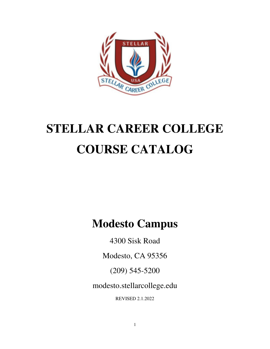

# **STELLAR CAREER COLLEGE COURSE CATALOG**

**Modesto Campus** 

4300 Sisk Road

Modesto, CA 95356

(209) 545-5200

modesto.stellarcollege.edu

REVISED 2.1.2022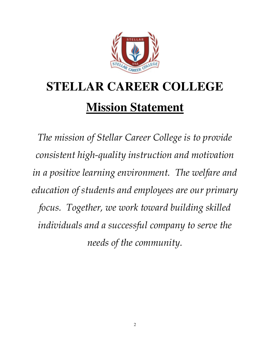

# **STELLAR CAREER COLLEGE Mission Statement**

*The mission of Stellar Career College is to provide consistent high-quality instruction and motivation in a positive learning environment. The welfare and education of students and employees are our primary focus. Together, we work toward building skilled individuals and a successful company to serve the needs of the community.*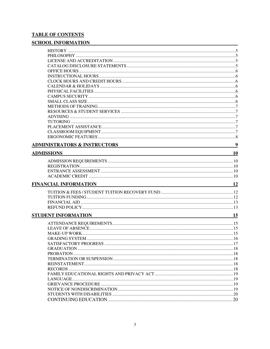### **TABLE OF CONTENTS**

### **SCHOOL INFORMATION**

| <b>ADMINISTRATORS &amp; INSTRUCTORS</b>                                                      | 9         |
|----------------------------------------------------------------------------------------------|-----------|
|                                                                                              |           |
| <b>ADMISSIONS</b>                                                                            | <b>10</b> |
|                                                                                              |           |
|                                                                                              |           |
|                                                                                              |           |
|                                                                                              |           |
| <b>FINANCIAL INFORMATION</b><br><u> 1989 - Johann Barbara, martxa eta idazlea (h. 1989).</u> | 12        |
|                                                                                              |           |
|                                                                                              |           |
|                                                                                              |           |
|                                                                                              |           |
| STUDENT INFORMATION<br><u> 1989 - Johann Stein, mars an deus Amerikaansk kommunister (</u>   | 15        |
|                                                                                              |           |
|                                                                                              |           |
|                                                                                              |           |
|                                                                                              |           |
| SATISFACTORY PROGRESS<br>$\frac{17}{2}$                                                      |           |
|                                                                                              |           |
|                                                                                              |           |
|                                                                                              |           |
|                                                                                              |           |
|                                                                                              |           |
|                                                                                              |           |
|                                                                                              |           |
|                                                                                              |           |
|                                                                                              |           |
|                                                                                              |           |
|                                                                                              |           |
|                                                                                              |           |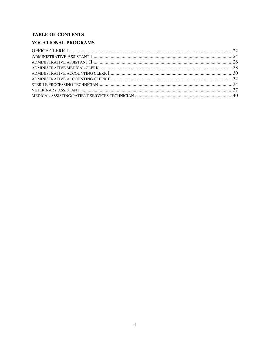### **TABLE OF CONTENTS**

### **VOCATIONAL PROGRAMS**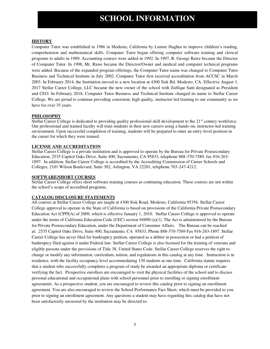### **SCHOOL INFORMATION**

#### **HISTORY**

Computer Tutor was established in 1986 in Modesto, California by Lenore Hughes to improve children's reading, comprehension and mathematical skills. Computer Tutor began offering computer software training and clerical programs to adults in 1989. Accounting courses were added in 1992. In 1997, R. George Rawe became the Director of Computer Tutor. In 1998, Mr. Rawe became the Director/Owner and medical and computer technical programs were added. Because of the expanded program offerings, the Computer Tutor name was changed to Computer Tutor Business and Technical Institute in July 2002. Computer Tutor first received accreditation from ACCSC in March 2003. In February 2014, the Institution moved to a new location at 4300 Sisk Rd. Modesto, CA. Effective August 1, 2017 Stellar Career College, LLC became the new owner of the school with Zulfiqar Satti designated as President and CEO. In February 2018, Computer Tutor Business and Technical Institute changed its name to Stellar Career College. We are proud to continue providing consistent, high quality, instructor-led training to our community as we have for over 35 years.

#### **PHILOSOPHY**

Stellar Career College is dedicated to providing quality professional skill development to the  $21<sup>st</sup>$  century workforce. Our professional and trained faculty will train students in their new careers using a hands-on, instructor-led training environment. Upon successful completion of training, students will be prepared to enter an entry-level position in the career for which they were trained.

#### **LICENSE AND ACCREDITATION**

Stellar Career College is a private institution and is approved to operate by the Bureau for Private Postsecondary Education, 2535 Capitol Oaks Drive, Suite 400, Sacramento, CA 95833, telephone 888-370-7589, fax 916-263- 1897. In addition, Stellar Career College is accredited by the Accrediting Commission of Career Schools and Colleges, 2101 Wilson Boulevard, Suite 302, Arlington, VA 22201, telephone 703-247-4212.

#### **SOFTWARE/SHORT COURSES**

Stellar Career College offers short software training courses as continuing education. These courses are not within the school's scope of accredited programs.

#### **CATALOG DISCLOSURE STATEMENTS**

All courses at Stellar Career College are taught at 4300 Sisk Road, Modesto, California 95356. Stellar Career College approval to operate in the State of California is based on provisions of the California Private Postsecondary Education Act (CPPEA) of 2009, which is effective January 1, 2010. Stellar Career College is approved to operate under the terms of California Education Code (CEC) section 94890 (a)(1). The Act is administered by the Bureau for Private Postsecondary Education, under the Department of Consumer Affairs. The Bureau can be reached at: 2535 Capitol Oaks Drive, Suite 400, Sacramento, CA 95833, Phone 888-370-7589 Fax 916-263-1897. Stellar Career College has never filed for bankruptcy petition, operated as a debtor in possession or had a petition of bankruptcy filed against it under Federal law. Stellar Career College is also licensed for the training of veterans and eligible persons under the provisions of Title 38, United States Code. Stellar Career College reserves the right to change or modify any information, curriculum, tuition, and regulations in this catalog at any time. Instruction is in residence, with the facility occupancy level accommodating 130 students at one time. California statute requires that a student who successfully completes a program of study be awarded an appropriate diploma or certificate verifying the fact. Prospective enrollees are encouraged to visit the physical facilities of the school and to discuss personal educational and occupational plans with school personnel prior to enrolling or signing enrollment agreements. As a prospective student, you are encouraged to review this catalog prior to signing an enrollment agreement. You are also encouraged to review the School Performance Fact Sheet, which must be provided to you prior to signing an enrollment agreement. Any questions a student may have regarding this catalog that have not been satisfactorily answered by the institution may be directed to: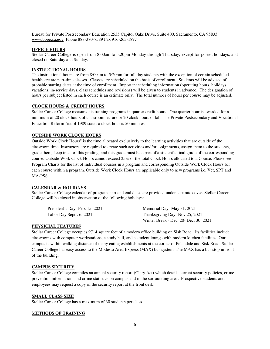Bureau for Private Postsecondary Education 2535 Capitol Oaks Drive, Suite 400, Sacramento, CA 95833 [www.bppe.ca.gov](http://www.bppe.ca.gov/) Phone 888-370-7589 Fax 916-263-1897

#### **OFFICE HOURS**

Stellar Career College is open from 8:00am to 5:20pm Monday through Thursday, except for posted holidays, and closed on Saturday and Sunday.

#### **INSTRUCTIONAL HOURS**

The instructional hours are from 8:00am to 5:20pm for full day students with the exception of certain scheduled healthcare are part-time classes. Classes are scheduled on the basis of enrollment. Students will be advised of probable starting dates at the time of enrollment. Important scheduling information (operating hours, holidays, vacations, in-service days, class schedules and revisions) will be given to students in advance. The designation of hours per subject listed in each course is an estimate only. The total number of hours per course may be adjusted.

#### **CLOCK HOURS & CREDIT HOURS**

Stellar Career College measures its training programs in quarter credit hours. One quarter hour is awarded for a minimum of 20 clock hours of classroom lecture or 20 clock hours of lab. The Private Postsecondary and Vocational Education Reform Act of 1989 states a clock hour is 50 minutes.

#### **OUTSIDE WORK CLOCK HOURS**

Outside Work Clock Hours" is the time allocated exclusively to the learning activities that are outside of the classroom time. Instructors are required to create such activities and/or assignments, assign them to the students, grade them, keep track of this grading, and this grade must be a part of a student's final grade of the corresponding course. Outside Work Clock Hours cannot exceed 25% of the total Clock Hours allocated to a Course. Please see Program Charts for the list of individual courses in a program and corresponding Outside Work Clock Hours for each course within a program. Outside Work Clock Hours are applicable only to new programs i.e. Vet, SPT and MA-PSS.

#### **CALENDAR & HOLIDAYS**

Stellar Career College calendar of program start and end dates are provided under separate cover. Stellar Career College will be closed in observation of the following holidays:

President's Day- Feb. 15, 2021 Labor Day Sept-. 6, 2021

Memorial Day- May 31, 2021 Thanksgiving Day- Nov 25, 2021 Winter Break - Dec. 20- Dec. 30, 2021

#### **PHYSICIAL FEATURES**

Stellar Career College occupies 9714 square feet of a modern office building on Sisk Road. Its facilities include classrooms with computer workstations, a study hall, and a student lounge with modern kitchen facilities. Our campus is within walking distance of many eating establishments at the corner of Pelandale and Sisk Road. Stellar Career College has easy access to the Modesto Area Express (MAX) bus system. The MAX has a bus stop in front of the building.

#### **CAMPUS SECURITY**

Stellar Career College compiles an annual security report (Clery Act) which details current security policies, crime prevention information, and crime statistics on campus and in the surrounding area. Prospective students and employees may request a copy of the security report at the front desk.

#### **SMALL CLASS SIZE**

Stellar Career College has a maximum of 30 students per class.

#### **METHODS OF TRAINING**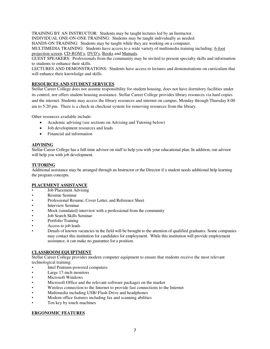TRAINING BY AN INSTRUCTOR: Students may be taught lectures led by an Instructor.

INDIVIDUAL ONE-ON-ONE TRAINING: Students may be taught individually as needed.

HANDS-ON TRAINING: Students may be taught while they are working on a computer.

MULTIMEDIA TRAINING: Students have access to a wide variety of multimedia training including: 6-foot

projection screen, CD-ROM's, DVD's, Books and Manuals.

GUEST SPEAKERS: Professionals from the community may be invited to present specialty skills and information to students to enhance their skills.

LECTURES AND DEMONSTRATIONS: Students have access to lectures and demonstrations on curriculum that will enhance their knowledge and skills.

#### **RESOURCES AND STUDENT SERVICES**

Stellar Career College does not assume responsibility for student housing, does not have dormitory facilities under its control, nor offers student housing assistance. Stellar Career College provides library resources via hard copies and the internet. Students may access the library resources and internet on campus, Monday through Thursday 8:00 am to 5:20 pm. There is a check-in checkout system for removing resources from the library.

Other resources available include:

- Academic advising (see sections on Advising and Tutoring below)
- Job development resources and leads
- Financial aid information

#### **ADVISING**

Stellar Career College has a full-time advisor on staff to help you with your educational plan. In addition, our advisor will help you with job development.

#### **TUTORING**

Additional assistance may be arranged through an Instructor or the Director if a student needs additional help learning the program concepts.

#### **PLACEMENT ASSISTANCE**

- Job Placement Advising
- Resume Seminar
- Professional Resume, Cover Letter, and Reference Sheet
- **Interview Seminar**
- Mock (simulated) interview with a professional from the community
- Job Search Skills Seminar
- Portfolio Training
- Access to job leads
- Details of known vacancies in the field will be brought to the attention of qualified graduates. Some companies may contact this institution for candidates for employment. While this institution will provide employment assistance, it can make no guarantee for a position.

#### **CLASSROOM EQUIPTMENT**

Stellar Career College provides modern computer equipment to ensure that students receive the most relevant technological training:

- Intel Pentium-powered computers
- Large 17-inch monitors
- Microsoft Windows
- Microsoft Office and the relevant software packages on the market
- Wireless connection to the Internet to provide fast connections to the Internet
- Multimedia including USB/ Flash Drive and headphones
- Modern office features including fax and scanning abilities
- Ten key by touch machines

#### **ERGONOMIC FEATURES**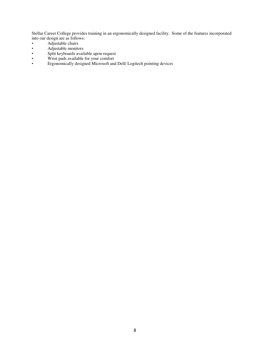Stellar Career College provides training in an ergonomically designed facility. Some of the features incorporated into our design are as follows:

- Adjustable chairs
- Adjustable monitors
- Split keyboards available upon request
- Wrist pads available for your comfort<br>• Ergonomically designed Microsoft and
- Ergonomically designed Microsoft and Dell/ Logitech pointing devices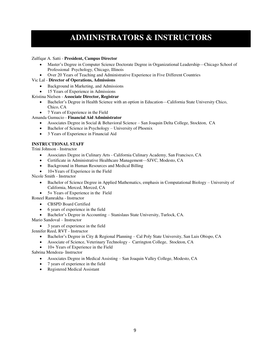# **ADMINISTRATORS & INSTRUCTORS**

#### Zulfiqar A. Satti - **President, Campus Director**

- Master's Degree in Computer Science Doctorate Degree in Organizational Leadership—Chicago School of Professional Psychology, Chicago, Illinois
- Over 20 Years of Teaching and Administrative Experience in Five Different Countries

#### Vic Lal - **Director of Operations, Admissions**

- Background in Marketing, and Admissions
- 15 Years of Experience in Admissions

#### Kristina Nielsen - **Associate Director, Registrar**

- Bachelor's Degree in Health Science with an option in Education—California State University Chico, Chico, CA
- 7 Years of Experience in the Field

#### Amanda Gumucio - **Financial Aid Administrator**

- Associates Degree in Social & Behavioral Science San Joaquin Delta College, Stockton, CA
- Bachelor of Science in Psychology University of Phoenix
- 3 Years of Experience in Financial Aid

#### **INSTRUCTIONAL STAFF**

Trini Johnson - Instructor

- Associates Degree in Culinary Arts California Culinary Academy, San Francisco, CA
- Certificate in Administrative Healthcare Management—SJVC, Modesto, CA
- Background in Human Resources and Medical Billing
- 10+Years of Experience in the Field

Nicole Smith - Instructor

- Bachelor of Science Degree in Applied Mathematics, emphasis in Computational Biology University of California, Merced, Merced, CA
- 5+ Years of Experience in the Field

Roneel Ramrakha - Instructor

- CBSPD Board Certified
- 6 years of experience in the field
- Bachelor's Degree in Accounting Stanislaus State University, Turlock, CA.

Mario Sandoval – Instructor

• 3 years of experience in the field

Jennifer Reed, RVT - Instructor

- Bachelor's Degree in City & Regional Planning Cal Poly State University, San Luis Obispo, CA
- Associate of Science, Veterinary Technology Carrington College, Stockton, CA
- 10+ Years of Experience in the Field

Sabrina Mendoza- Instructor

- Associates Degree in Medical Assisting San Joaquin Valley College, Modesto, CA
- 7 years of experience in the field
- Registered Medical Assistant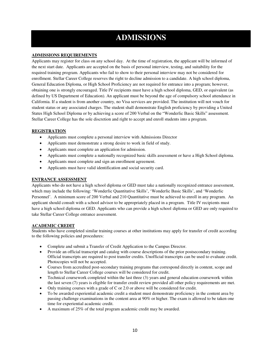# **ADMISSIONS**

#### **ADMISSIONS REQUIREMENTS**

Applicants may register for class on any school day. At the time of registration, the applicant will be informed of the next start date. Applicants are accepted on the basis of personal interview, testing, and suitability for the required training program. Applicants who fail to show to their personal interview may not be considered for enrollment. Stellar Career College reserves the right to decline admission to a candidate. A high school diploma, General Education Diploma, or High School Proficiency are not required for entrance into a program; however, obtaining one is strongly encouraged. Title IV recipients must have a high school diploma, GED, or equivalent (as defined by US Department of Education). An applicant must be beyond the age of compulsory school attendance in California. If a student is from another country, no Visa services are provided. The institution will not vouch for student status or any associated charges. The student shall demonstrate English proficiency by providing a United States High School Diploma or by achieving a score of 200 Verbal on the "Wonderlic Basic Skills" assessment. Stellar Career College has the sole discretion and right to accept and enroll students into a program.

#### **REGISTRATION**

- Applicants must complete a personal interview with Admissions Director
- Applicants must demonstrate a strong desire to work in field of study.
- Applicants must complete an application for admission.
- Applicants must complete a nationally recognized basic skills assessment or have a High School diploma.
- Applicants must complete and sign an enrollment agreement.
- Applicants must have valid identification and social security card.

#### **ENTRANCE ASSESSMENT**

Applicants who do not have a high school diploma or GED must take a nationally recognized entrance assessment, which may include the following: 'Wonderlic Quantitative Skills', 'Wonderlic Basic Skills', and 'Wonderlic Personnel'. A minimum score of 200 Verbal and 210 Quantitative must be achieved to enroll in any program. An applicant should consult with a school advisor to be appropriately placed in a program. Title IV recipients must have a high school diploma or GED. Applicants who can provide a high school diploma or GED are only required to take Stellar Career College entrance assessment.

#### **ACADEMIC CREDIT**

Students who have completed similar training courses at other institutions may apply for transfer of credit according to the following policies and procedures:

- Complete and submit a Transfer of Credit Application to the Campus Director.
- Provide an official transcript and catalog with course descriptions of the prior postsecondary training. Official transcripts are required to post transfer credits. Unofficial transcripts can be used to evaluate credit. Photocopies will not be accepted.
- Courses from accredited post-secondary training programs that correspond directly in content, scope and length to Stellar Career College courses will be considered for credit.
- Technical coursework completed within the last three (3) years and general education coursework within the last seven (7) years is eligible for transfer credit review provided all other policy requirements are met.
- Only training courses with a grade of C or 2.0 or above will be considered for credit.
- To be awarded experiential academic credit a student must demonstrate proficiency in the content area by passing challenge examinations in the content area at 90% or higher. The exam is allowed to be taken one time for experiential academic credit.
- A maximum of 25% of the total program academic credit may be awarded.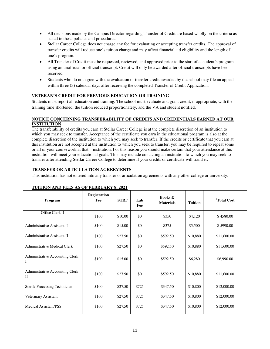- All decisions made by the Campus Director regarding Transfer of Credit are based wholly on the criteria as stated in these policies and procedures.
- Stellar Career College does not charge any fee for evaluating or accepting transfer credits. The approval of transfer credits will reduce one's tuition charge and may affect financial aid eligibility and the length of one's program.
- All Transfer of Credit must be requested, reviewed, and approved prior to the start of a student's program using an unofficial or official transcript. Credit will only be awarded after official transcripts have been received.
- Students who do not agree with the evaluation of transfer credit awarded by the school may file an appeal within three (3) calendar days after receiving the completed Transfer of Credit Application.

#### **VETERAN'S CREDIT FOR PREVIOUS EDUCATION OR TRAINING**

Students must report all education and training. The school must evaluate and grant credit, if appropriate, with the training time shortened, the tuition reduced proportionately, and the VA and student notified.

#### **NOTICE CONCERNING TRANSFERABILITY OF CREDITS AND CREDENTIALS EARNED AT OUR INSTITUTION**

The transferability of credits you earn at Stellar Career College is at the complete discretion of an institution to which you may seek to transfer. Acceptance of the certificate you earn in the educational program is also at the complete discretion of the institution to which you may seek to transfer. If the credits or certificate that you earn at this institution are not accepted at the institution to which you seek to transfer, you may be required to repeat some or all of your coursework at that institution. For this reason you should make certain that your attendance at this institution will meet your educational goals. This may include contacting an institution to which you may seek to transfer after attending Stellar Career College to determine if your credits or certificate will transfer.

#### **TRANSFER OR ARTICULATION AGREEMENTS**

This institution has not entered into any transfer or articulation agreements with any other college or university.

| Program                                         | <b>Registration</b><br>Fee | <b>STRF</b> | Lab<br>Fee | <b>Books &amp;</b><br><b>Materials</b> | <b>Tuition</b> | <sup>1</sup> Total Cost |
|-------------------------------------------------|----------------------------|-------------|------------|----------------------------------------|----------------|-------------------------|
| Office Clerk I                                  | \$100                      | \$10.00     | \$0        | \$350                                  | \$4,120        | \$4580.00               |
| Administrative Assistant I                      | \$100                      | \$15.00     | \$0        | \$375                                  | \$5,500        | \$5990.00               |
| Administrative Assistant II                     | \$100                      | \$27.50     | \$0        | \$592.50                               | \$10,880       | \$11,600.00             |
| <b>Administrative Medical Clerk</b>             | \$100                      | \$27.50     | \$0        | \$592.50                               | \$10,880       | \$11,600.00             |
| Administrative Accounting Clerk<br>Ι            | \$100                      | \$15.00     | \$0        | \$592.50                               | \$6,280        | \$6,990.00              |
| Administrative Accounting Clerk<br>$\mathbf{I}$ | \$100                      | \$27.50     | \$0        | \$592.50                               | \$10,880       | \$11,600.00             |
| Sterile Processing Technician                   | \$100                      | \$27.50     | \$725      | \$347.50                               | \$10,800       | \$12,000.00             |
| Veterinary Assistant                            | \$100                      | \$27.50     | \$725      | \$347.50                               | \$10,800       | \$12,000.00             |
| <b>Medical Assistant/PSS</b>                    | \$100                      | \$27.50     | \$725      | \$347.50                               | \$10,800       | \$12,000.00             |

#### **TUITION AND FEES AS OF FEBRUARY 8, 2021**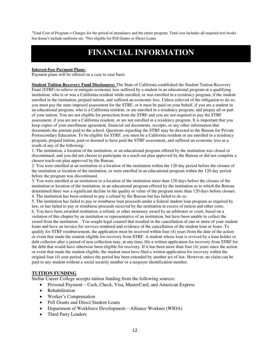<sup>1</sup>Total Cost of Program = Charges for the period of attendance and the entire program. Total cost includes all required text books but doesn't include uniforms etc. \*Not eligible for Pell Grants or Direct Loans

## **FINANCIAL INFORMATION**

#### **Interest-free Payment Plans:**

Payment plans will be offered on a case to case basis

**Student Tuition Recovery Fund Disclosures:** The State of California established the Student Tuition Recovery Fund (STRF) to relieve or mitigate economic loss suffered by a student in an educational program at a qualifying institution, who is or was a California resident while enrolled, or was enrolled in a residency program, if the student enrolled in the institution, prepaid tuition, and suffered an economic loss. Unless relieved of the obligation to do so, you must pay the state-imposed assessment for the STRF, or it must be paid on your behalf, if you are a student in an educational program, who is a California resident, or are enrolled in a residency program, and prepay all or part of your tuition. You are not eligible for protection from the STRF and you are not required to pay the STRF assessment, if you are not a California resident, or are not enrolled in a residency program. It is important that you keep copies of your enrollment agreement, financial aid documents, receipts, or any other information that documents the amount paid to the school. Questions regarding the STRF may be directed to the Bureau for Private Postsecondary Education. To be eligible for STRF, you must be a California resident or are enrolled in a residency program, prepaid tuition, paid or deemed to have paid the STRF assessment, and suffered an economic loss as a result of any of the following:

1. The institution, a location of the institution, or an educational program offered by the institution was closed or discontinued, and you did not choose to participate in a teach out plan approved by the Bureau or did not complete a chosen teach-out plan approved by the Bureau.

2. You were enrolled at an institution or a location of the institution within the 120 day period before the closure of the institution or location of the institution, or were enrolled in an educational program within the 120 day period before the program was discontinued.

3. You were enrolled at an institution or a location of the institution more than 120 days before the closure of the institution or location of the institution, in an educational program offered by the institution as to which the Bureau determined there was a significant decline in the quality or value of the program more than 120 days before closure. 4. The institution has been ordered to pay a refund by the Bureau but has failed to do so.

5. The institution has failed to pay or reimburse loan proceeds under a federal student loan program as required by law, or has failed to pay or reimburse proceeds received by the institution in excess of tuition and other costs.

6. You have been awarded restitution, a refund, or other monetary award by an arbitrator or court, based on a violation of this chapter by an institution or representative of an institution, but have been unable to collect the award from the institution. . You sought legal counsel that resulted in the cancellation of one or more of your student loans and have an invoice for services rendered and evidence of the cancellation of the student loan or loans. To qualify for STRF reimbursement, the application must be received within four (4) years from the date of the action or event that made the student eligible for recovery from STRF. A student whose loan is revived by a loan holder or debt collector after a period of non-collection may, at any time, file a written application for recovery from STRF for the debt that would have otherwise been eligible for recovery. If it has been more than four (4) years since the action or event that made the student eligible, the student must have filed a written application for recovery within the original four (4) year period, unless the period has been extended by another act of law. However, no claim can be paid to any student without a social security number or a taxpayer identification number.

#### **TUITION FUNDING**

Stellar Career College accepts tuition funding from the following sources:

- Personal Payment Cash, Check, Visa, MasterCard, and American Express
- Rehabilitation
- Worker's Compensation
- Pell Grants and Direct Student Loans
- Department of Workforce Development—Alliance Worknet (WIOA)
- Third Party Lenders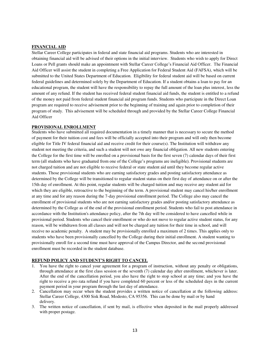#### **FINANCIAL AID**

Stellar Career College participates in federal and state financial aid programs. Students who are interested in obtaining financial aid will be advised of their options in the initial interview. Students who wish to apply for Direct Loans or Pell grants should make an appointment with Stellar Career College's Financial Aid Officer. The Financial Aid Officer will assist the student in completing a Free Application for Federal Student Aid (FAFSA), which will be submitted to the United States Department of Education. Eligibility for federal student aid will be based on current federal guidelines and determined solely by the Department of Education. If a student obtains a loan to pay for an educational program, the student will have the responsibility to repay the full amount of the loan plus interest, less the amount of any refund. If the student has received federal student financial aid funds, the student is entitled to a refund of the money not paid from federal student financial aid program funds. Students who participate in the Direct Loan program are required to receive advisement prior to the beginning of training and again prior to completion of their program of study. This advisement will be scheduled through and provided by the Stellar Career College Financial Aid Officer

#### **PROVISIONAL ENROLLMENT**

Students who have submitted all required documentation in a timely manner that is necessary to secure the method of payment for their tuition cost and fees will be officially accepted into their program and will only then become eligible for Title IV federal financial aid and receive credit for their course(s). The Institution will withdraw any student not meeting the criteria, and such a student will not owe any financial obligation. All new students entering the College for the first time will be enrolled on a provisional basis for the first seven (7) calendar days of their first term (all students who have graduated from one of the College's programs are ineligible). Provisional students are not charged tuition and are not eligible to receive federal or state student aid until they become regular active students. Those provisional students who are earning satisfactory grades and posting satisfactory attendance as determined by the College will be transitioned to regular student status on their first day of attendance on or after the 15th day of enrollment. At this point, regular students will be charged tuition and may receive any student aid for which they are eligible, retroactive to the beginning of the term. A provisional student may cancel his/her enrollment at any time and for any reason during the 7-day provisional enrollment period. The College also may cancel the enrollment of provisional students who are not earning satisfactory grades and/or posting satisfactory attendance as determined by the College as of the end of the provisional enrollment period. Students who fail to post attendance in accordance with the Institution's attendance policy, after the 7th day will be considered to have cancelled while in provisional period. Students who cancel their enrollment or who do not move to regular active student status, for any reason, will be withdrawn from all classes and will not be charged any tuition for their time in school, and will receive no academic penalty. A student may be provisionally enrolled a maximum of 2 times. This applies only to students who have been provisionally cancelled by the College during their initial enrollment. A student wanting to provisionally enroll for a second time must have approval of the Campus Director, and the second provisional enrollment must be recorded in the student database.

#### **REFUND POLICY AND STUDENT'S RIGHT TO CANCEL**

- 1. You have the right to cancel your agreement for a program of instruction, without any penalty or obligations, through attendance at the first class session or the seventh (7) calendar day after enrollment, whichever is later. After the end of the cancellation period, you also have the right to stop school at any time; and you have the right to receive a pro rata refund if you have completed 60 percent or less of the scheduled days in the current payment period in your program through the last day of attendance.
- 2. Cancellation may occur when the student provides a written notice of cancellation at the following address: Stellar Career College, 4300 Sisk Road, Modesto, CA 95356. This can be done by mail or by hand delivery.
- 3. The written notice of cancellation, if sent by mail, is effective when deposited in the mail properly addressed with proper postage.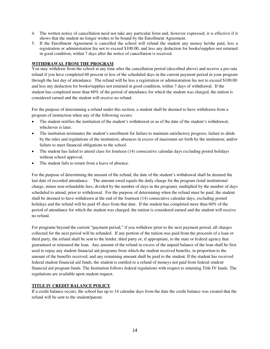- 4. The written notice of cancellation need not take any particular form and, however expressed, it is effective if it shows that the student no longer wishes to be bound by the Enrollment Agreement.
- 5. If the Enrollment Agreement is cancelled the school will refund the student any money he/she paid, less a registration or administration fee not to exceed \$100.00, and less any deduction for books/supplies not returned in good condition, within 7 days after the notice of cancellation is received.

#### **WITHDRAWAL FROM THE PROGRAM**

You may withdraw from the school at any time after the cancellation period (described above) and receive a pro rata refund if you have completed 60 percent or less of the scheduled days in the current payment period in your program through the last day of attendance. The refund will be less a registration or administration fee not to exceed \$100.00 and less any deduction for books/supplies not returned in good condition, within 7 days of withdrawal. If the student has completed more than 60% of the period of attendance for which the student was charged, the tuition is considered earned and the student will receive no refund.

For the purpose of determining a refund under this section, a student shall be deemed to have withdrawn from a program of instruction when any of the following occurs:

- The student notifies the institution of the student's withdrawal or as of the date of the student's withdrawal, whichever is later.
- The institution terminates the student's enrollment for failure to maintain satisfactory progress; failure to abide by the rules and regulations of the institution; absences in excess of maximum set forth by the institution; and/or failure to meet financial obligations to the school.
- The student has failed to attend class for fourteen (14) consecutive calendar days excluding posted holidays without school approval.
- The student fails to return from a leave of absence.

For the purpose of determining the amount of the refund, the date of the student's withdrawal shall be deemed the last date of recorded attendance. The amount owed equals the daily charge for the program (total institutional charge, minus non-refundable fees, divided by the number of days in the program), multiplied by the number of days scheduled to attend, prior to withdrawal. For the purpose of determining when the refund must be paid, the student shall be deemed to have withdrawn at the end of the fourteen (14) consecutive calendar days, excluding posted holidays and the refund will be paid 45 days from that date. If the student has completed more than 60% of the period of attendance for which the student was charged, the tuition is considered earned and the student will receive no refund.

For programs beyond the current "payment period," if you withdraw prior to the next payment period, all charges collected for the next period will be refunded. If any portion of the tuition was paid from the proceeds of a loan or third party, the refund shall be sent to the lender, third party or, if appropriate, to the state or federal agency that guaranteed or reinsured the loan. Any amount of the refund in excess of the unpaid balance of the loan shall be first used to repay any student financial aid programs from which the student received benefits, in proportion to the amount of the benefits received, and any remaining amount shall be paid to the student. If the student has received federal student financial aid funds, the student is entitled to a refund of moneys not paid from federal student financial aid program funds. The Institution follows federal regulations with respect to returning Title IV funds. The regulations are available upon student request.

#### **TITLE IV CREDIT BALANCE POLICY**

If a credit balance occurs, the school has up to 14 calendar days from the date the credit balance was created that the refund will be sent to the student/parent.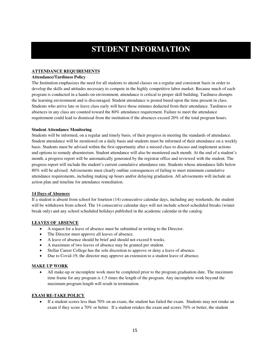# **STUDENT INFORMATION**

#### **ATTENDANCE REQUIREMENTS**

#### **Attendance/Tardiness Policy**

The Institution emphasizes the need for all students to attend classes on a regular and consistent basis in order to develop the skills and attitudes necessary to compete in the highly competitive labor market. Because much of each program is conducted in a hands-on environment, attendance is critical to proper skill building. Tardiness disrupts the learning environment and is discouraged. Student attendance is posted based upon the time present in class. Students who arrive late or leave class early will have those minutes deducted from their attendance. Tardiness or absences in any class are counted toward the 80% attendance requirement. Failure to meet the attendance requirement could lead to dismissal from the institution if the absences exceed 20% of the total program hours.

#### **Student Attendance Monitoring**

Students will be informed, on a regular and timely basis, of their progress in meeting the standards of attendance. Student attendance will be monitored on a daily basis and students must be informed of their attendance on a weekly basis. Students must be advised within the first opportunity after a missed class to discuss and implement actions and options to remedy absenteeism. Student attendance will also be monitored each month. At the end of a student's month, a progress report will be automatically generated by the registrar office and reviewed with the student. The progress report will include the student's current cumulative attendance rate. Students whose attendance falls below 80% will be advised. Advisements must clearly outline consequences of failing to meet minimum cumulative attendance requirements, including making up hours and/or delaying graduation. All advisements will include an action plan and timeline for attendance remediation.

#### **14 Days of Absences**

If a student is absent from school for fourteen (14) consecutive calendar days, including any weekends, the student will be withdrawn from school. The 14 consecutive calendar days will not include school-scheduled breaks (winter break only) and any school scheduled holidays published in the academic calendar in the catalog.

#### **LEAVES OF ABSENCE**

- A request for a leave of absence must be submitted in writing to the Director.
- The Director must approve all leaves of absence.
- A leave of absence should be brief and should not exceed 6 weeks.
- A maximum of two leaves of absence may be granted per student.
- Stellar Career College has the sole discretion to approve or deny a leave of absence.
- Due to Covid-19, the director may approve an extension to a student leave of absence.

#### **MAKE UP WORK**

 All make-up or incomplete work must be completed prior to the program graduation date. The maximum time frame for any program is 1.5 times the length of the program. Any incomplete work beyond the maximum program length will result in termination.

#### **EXAM RE-TAKE POLICY**

 If a student scores less than 70% on an exam, the student has failed the exam. Students may not retake an exam if they score a 70% or better. If a student retakes the exam and scores 70% or better, the student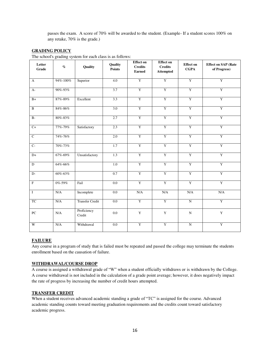passes the exam. A score of 70% will be awarded to the student. (Example- If a student scores 100% on any retake, 70% is the grade.)

#### **GRADING POLICY**

The school's grading system for each class is as follows:

| <b>Effect on</b><br><b>Effect</b> on |                 |                        |                          |                                 |                                    |                                 |                                            |
|--------------------------------------|-----------------|------------------------|--------------------------|---------------------------------|------------------------------------|---------------------------------|--------------------------------------------|
| Letter<br>Grade                      | $\%$            | Quality                | Quality<br><b>Points</b> | <b>Credits</b><br><b>Earned</b> | <b>Credits</b><br><b>Attempted</b> | <b>Effect</b> on<br><b>CGPA</b> | <b>Effect on SAP (Rate</b><br>of Progress) |
| $\mathbf{A}$                         | 94%-100%        | Superior               | 4.0                      | $\overline{Y}$                  | Y                                  | Y                               | Y                                          |
| $A-$                                 | 90%-93%         |                        | 3.7                      | $\overline{Y}$                  | $\overline{Y}$                     | $\overline{Y}$                  | $\overline{Y}$                             |
| $B+$                                 | 87%-89%         | Excellent              | 3.3                      | Y                               | $\overline{Y}$                     | Y                               | Y                                          |
| $\overline{B}$                       | $84\%$ - $86\%$ |                        | 3.0                      | Y                               | $\overline{\mathbf{Y}}$            | Y                               | $\rm Y$                                    |
| $B -$                                | 80%-83%         |                        | 2.7                      | Y                               | Y                                  | Y                               | Y                                          |
| $\overline{C}$                       | 77%-79%         | Satisfactory           | 2.3                      | Y                               | $\overline{Y}$                     | Y                               | Y                                          |
| $\overline{C}$                       | 74%-76%         |                        | 2.0                      | Y                               | Y                                  | Y                               | Y                                          |
| $\overline{C}$                       | 70%-73%         |                        | 1.7                      | Y                               | $\overline{\mathbf{Y}}$            | $\mathbf Y$                     | $\rm Y$                                    |
| $D+$                                 | 67%-69%         | Unsatisfactory         | 1.3                      | Y                               | Y                                  | Y                               | Y                                          |
| $\mathbf D$                          | 64%-66%         |                        | 1.0                      | Y                               | Y                                  | Y                               | Y                                          |
| $D-$                                 | 60%-63%         |                        | 0.7                      | Y                               | $\overline{Y}$                     | $\overline{Y}$                  | Y                                          |
| $\overline{\mathrm{F}}$              | 0%-59%          | Fail                   | 0.0                      | Y                               | Y                                  | Y                               | Y                                          |
| $\overline{I}$                       | N/A             | Incomplete             | 0.0                      | N/A                             | N/A                                | N/A                             | $\rm N/A$                                  |
| <b>TC</b>                            | N/A             | <b>Transfer Credit</b> | 0.0                      | Y                               | Y                                  | $\overline{N}$                  | Y                                          |
| PC                                   | N/A             | Proficiency<br>Credit  | $0.0\,$                  | $\mathbf Y$                     | $\mathbf Y$                        | $\mathbf N$                     | $\mathbf Y$                                |
| W                                    | N/A             | Withdrawal             | 0.0                      | Y                               | Y                                  | $\overline{N}$                  | $\rm Y$                                    |

#### **FAILURE**

Any course in a program of study that is failed must be repeated and passed the college may terminate the students enrollment based on the causation of failure.

#### **WITHDRAWAL/COURSE DROP**

A course is assigned a withdrawal grade of "W" when a student officially withdraws or is withdrawn by the College. A course withdrawal is not included in the calculation of a grade point average; however, it does negatively impact the rate of progress by increasing the number of credit hours attempted.

#### **TRANSFER CREDIT**

When a student receives advanced academic standing a grade of "TC" is assigned for the course. Advanced academic standing counts toward meeting graduation requirements and the credits count toward satisfactory academic progress.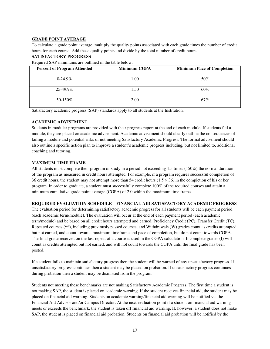#### **GRADE POINT AVERAGE**

To calculate a grade point average, multiply the quality points associated with each grade times the number of credit hours for each course. Add these quality points and divide by the total number of credit hours.

#### **SATISFACTORY PROGRESS**

Required SAP minimums are outlined in the table below:

| <b>Percent of Program Attended</b> | <b>Minimum CGPA</b> | <b>Minimum Pace of Completion</b> |
|------------------------------------|---------------------|-----------------------------------|
| $0-24.9\%$                         | 1.00                | 50%                               |
| $25-49.9\%$                        | 1.50                | 60%                               |
| $50-150\%$                         | 2.00                | 67%                               |

Satisfactory academic progress (SAP) standards apply to all students at the Institution.

#### **ACADEMIC ADVISEMENT**

Students in modular programs are provided with their progress report at the end of each module. If students fail a module, they are placed on academic advisement. Academic advisement should clearly outline the consequences of failing a module and potential risks of not meeting Satisfactory Academic Progress. The formal advisement should also outline a specific action plan to improve a student's academic progress including, but not limited to, additional coaching and tutoring.

#### **MAXIMUM TIME FRAME**

All students must complete their program of study in a period not exceeding 1.5 times (150%) the normal duration of the program as measured in credit hours attempted. For example, if a program requires successful completion of 36 credit hours, the student may not attempt more than 54 credit hours  $(1.5 \times 36)$  in the completion of his or her program. In order to graduate, a student must successfully complete 100% of the required courses and attain a minimum cumulative grade point average (CGPA) of 2.0 within the maximum time frame.

#### **REQUIRED EVALUATION SCHEDULE – FINANCIAL AID SATISFACTORY ACADEMIC PROGRESS**

The evaluation period for determining satisfactory academic progress for all students will be each payment period (each academic term/module). The evaluation will occur at the end of each payment period (each academic term/module) and be based on all credit hours attempted and earned. Proficiency Credit (PC), Transfer Credit (TC), Repeated courses (\*\*), including previously passed courses, and Withdrawals (W) grades count as credits attempted but not earned, and count towards maximum timeframe and pace of completion, but do not count towards CGPA. The final grade received on the last repeat of a course is used in the CGPA calculation. Incomplete grades (I) will count as credits attempted but not earned, and will not count towards the CGPA until the final grade has been posted.

If a student fails to maintain satisfactory progress then the student will be warned of any unsatisfactory progress. If unsatisfactory progress continues then a student may be placed on probation. If unsatisfactory progress continues during probation then a student may be dismissed from the program.

Students not meeting these benchmarks are not making Satisfactory Academic Progress. The first time a student is not making SAP, the student is placed on academic warning. If the student receives financial aid, the student may be placed on financial aid warning. Students on academic warning/financial aid warning will be notified via the Financial Aid Advisor and/or Campus Director. At the next evaluation point if a student on financial aid warning meets or exceeds the benchmark, the student is taken off financial aid warning. If, however, a student does not make SAP, the student is placed on financial aid probation. Students on financial aid probation will be notified by the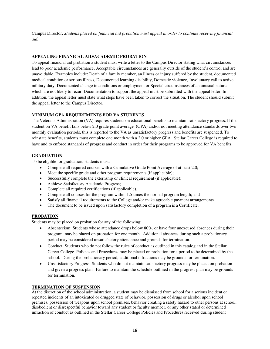Campus Director. *Students placed on financial aid probation must appeal in order to continue receiving financial aid.* 

#### **APPEALING FINANICAL AID/ACADEMIC PROBATION**

To appeal financial aid probation a student must write a letter to the Campus Director stating what circumstances lead to poor academic performance. Acceptable circumstances are generally outside of the student's control and are unavoidable. Examples include: Death of a family member, an illness or injury suffered by the student, documented medical condition or serious illness, Documented learning disability, Domestic violence, Involuntary call to active military duty, Documented change in conditions or employment or Special circumstances of an unusual nature which are not likely to recur. Documentation to support the appeal must be submitted with the appeal letter. In addition, the appeal letter must state what steps have been taken to correct the situation. The student should submit the appeal letter to the Campus Director.

#### **MINIMUM GPA REQUIREMENTS FOR VA STUDENTS**

The Veterans Administration (VA) requires students on educational benefits to maintain satisfactory progress. If the student on VA benefit falls below 2.0 grade point average (GPA) and/or not meeting attendance standards over two monthly evaluation periods, this is reported to the VA as unsatisfactory progress and benefits are suspended. To reinstate benefits, students must complete one month with a 2.0 or higher GPA. Stellar Career College is required to have and to enforce standards of progress and conduct in order for their programs to be approved for VA benefits.

#### **GRADUATION**

To be eligible for graduation, students must:

- Complete all required courses with a Cumulative Grade Point Average of at least 2.0;
- Meet the specific grade and other program requirements (if applicable);
- Successfully complete the externship or clinical requirement (if applicable);
- Achieve Satisfactory Academic Progress;
- Complete all required certifications (if applicable).
- Complete all courses for the program within 1.5 times the normal program length; and
- Satisfy all financial requirements to the College and/or make agreeable payment arrangements.
- The document to be issued upon satisfactory completion of a program is a Certificate.

#### **PROBATION**

Students may be placed on probation for any of the following:

- Absenteeism: Students whose attendance drops below 80%, or have four unexcused absences during their program, may be placed on probation for one month. Additional absences during such a probationary period may be considered unsatisfactory attendance and grounds for termination.
- Conduct: Students who do not follow the rules of conduct as outlined in this catalog and in the Stellar Career College Policies and Procedures may be placed on probation for a period to be determined by the school. During the probationary period, additional infractions may be grounds for termination.
- Unsatisfactory Progress: Students who do not maintain satisfactory progress may be placed on probation and given a progress plan. Failure to maintain the schedule outlined in the progress plan may be grounds for termination.

#### **TERMINATION OF SUSPENSION**

At the discretion of the school administration, a student may be dismissed from school for a serious incident or repeated incidents of an intoxicated or drugged state of behavior, possession of drugs or alcohol upon school premises, possession of weapons upon school premises, behavior creating a safety hazard to other persons at school, disobedient or disrespectful behavior toward any student or faculty member, or any other stated or determined infraction of conduct as outlined in the Stellar Career College Policies and Procedures received during student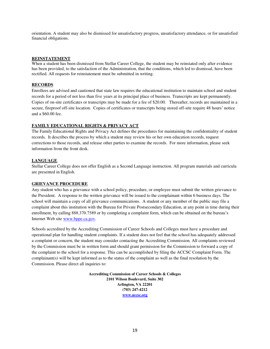orientation. A student may also be dismissed for unsatisfactory progress, unsatisfactory attendance, or for unsatisfied financial obligations.

#### **REINSTATEMENT**

When a student has been dismissed from Stellar Career College, the student may be reinstated only after evidence has been provided, to the satisfaction of the Administration, that the conditions, which led to dismissal, have been rectified. All requests for reinstatement must be submitted in writing.

#### **RECORDS**

Enrollees are advised and cautioned that state law requires the educational institution to maintain school and student records for a period of not less than five years at its principal place of business. Transcripts are kept permanently. Copies of on-site certificates or transcripts may be made for a fee of \$20.00. Thereafter, records are maintained in a secure, fireproof off-site location. Copies of certificates or transcripts being stored off-site require 48 hours' notice and a \$60.00 fee.

#### **FAMILY EDUCATIONAL RIGHTS & PRIVACY ACT**

The Family Educational Rights and Privacy Act defines the procedures for maintaining the confidentiality of student records. It describes the process by which a student may review his or her own education records, request corrections to those records, and release other parties to examine the records. For more information, please seek information from the front desk.

#### **LANGUAGE**

Stellar Career College does not offer English as a Second Language instruction. All program materials and curricula are presented in English.

#### **GRIEVANCE PROCEDURE**

Any student who has a grievance with a school policy, procedure, or employee must submit the written grievance to the President. A response to the written grievance will be issued to the complainant within 6 business days. The school will maintain a copy of all grievance communications. A student or any member of the public may file a complaint about this institution with the Bureau for Private Postsecondary Education, at any point in time during their enrollment, by calling 888.370.7589 or by completing a complaint form, which can be obtained on the bureau's Internet Web site [www.bppe.ca.gov.](http://www.bppe.ca.gov/)

Schools accredited by the Accrediting Commission of Career Schools and Colleges must have a procedure and operational plan for handling student complaints. If a student does not feel that the school has adequately addressed a complaint or concern, the student may consider contacting the Accrediting Commission. All complaints reviewed by the Commission must be in written form and should grant permission for the Commission to forward a copy of the complaint to the school for a response. This can be accomplished by filing the ACCSC Complaint Form. The complainant(s) will be kept informed as to the status of the complaint as well as the final resolution by the Commission. Please direct all inquiries to:

> **Accrediting Commission of Career Schools & Colleges 2101 Wilson Boulevard, Suite 302 Arlington, VA 22201 (703) 247-4212 [www.accsc.org](http://www.accsc.org/)**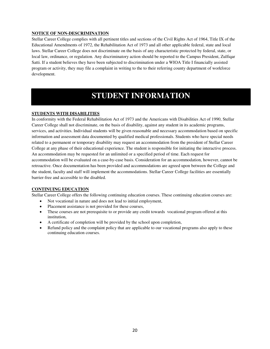#### **NOTICE OF NON-DESCRIMINATION**

Stellar Career College complies with all pertinent titles and sections of the Civil Rights Act of 1964, Title IX of the Educational Amendments of 1972, the Rehabilitation Act of 1973 and all other applicable federal, state and local laws. Stellar Career College does not discriminate on the basis of any characteristic protected by federal, state, or local law, ordinance, or regulation. Any discriminatory action should be reported to the Campus President, Zulfiqar Satti. If a student believes they have been subjected to discrimination under a WIOA Title I financially assisted program or activity, they may file a complaint in writing to the to their referring county department of workforce development.

### **STUDENT INFORMATION**

#### **STUDENTS WITH DISABILITIES**

In conformity with the Federal Rehabilitation Act of 1973 and the Americans with Disabilities Act of 1990, Stellar Career College shall not discriminate, on the basis of disability, against any student in its academic programs, services, and activities. Individual students will be given reasonable and necessary accommodation based on specific information and assessment data documented by qualified medical professionals. Students who have special needs related to a permanent or temporary disability may request an accommodation from the president of Stellar Career College at any phase of their educational experience. The student is responsible for initiating the interactive process. An accommodation may be requested for an unlimited or a specified period of time. Each request for accommodation will be evaluated on a case-by-case basis. Consideration for an accommodation, however, cannot be retroactive. Once documentation has been provided and accommodations are agreed upon between the College and the student, faculty and staff will implement the accommodations. Stellar Career College facilities are essentially barrier-free and accessible to the disabled.

#### **CONTINUING EDUCATION**

Stellar Career College offers the following continuing education courses. These continuing education courses are:

- Not vocational in nature and does not lead to initial employment,
- Placement assistance is not provided for these courses,
- These courses are not prerequisite to or provide any credit towards vocational program offered at this institution,
- A certificate of completion will be provided by the school upon completion,
- Refund policy and the complaint policy that are applicable to our vocational programs also apply to these continuing education courses.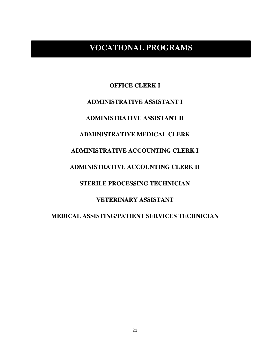### **VOCATIONAL PROGRAMS**

**OFFICE CLERK I ADMINISTRATIVE ASSISTANT I ADMINISTRATIVE ASSISTANT II ADMINISTRATIVE MEDICAL CLERK ADMINISTRATIVE ACCOUNTING CLERK I ADMINISTRATIVE ACCOUNTING CLERK II STERILE PROCESSING TECHNICIAN VETERINARY ASSISTANT MEDICAL ASSISTING/PATIENT SERVICES TECHNICIAN**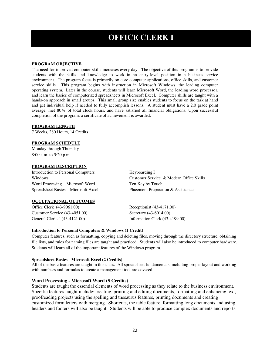### **OFFICE CLERK I**

#### **PROGRAM OBJECTIVE**

The need for improved computer skills increases every day. The objective of this program is to provide students with the skills and knowledge to work in an entry-level position in a business service environment. The program focus is primarily on core computer applications, office skills, and customer service skills. This program begins with instruction in Microsoft Windows, the leading computer operating system. Later in the course, students will learn Microsoft Word, the leading word processor, and learn the basics of computerized spreadsheets in Microsoft Excel. Computer skills are taught with a hands-on approach in small groups. This small group size enables students to focus on the task at hand and get individual help if needed to fully accomplish lessons. A student must have a 2.0 grade point average, met 80**%** of total clock hours, and have satisfied all financial obligations. Upon successful completion of the program, a certificate of achievement is awarded.

#### **PROGRAM LENGTH**

7 Weeks, 280 Hours, 14 Credits

#### **PROGRAM SCHEDULE**

Monday through Thursday 8:00 a.m. to 5:20 p.m.

#### **PROGRAM DESCRIPTION**

Introduction to Personal Computers Keyboarding I Windows Customer Service & Modern Office Skills Word Processing – Microsoft Word Ten Key by Touch

Spreadsheet Basics – Microsoft Excel Placement Preparation & Assistance

#### **OCCUPATIONAL OUTCOMES**

Office Clerk (43-9061.00) Receptionist (43-4171.00) Customer Service (43-4051.00) Secretary (43-6014.00) General Clerical (43-4121.00) Information Clerk (43-4199.00)

#### **Introduction to Personal Computers & Windows (1 Credit)**

Computer features, such as formatting, copying and deleting files, moving through the directory structure, obtaining file lists, and rules for naming files are taught and practiced. Students will also be introduced to computer hardware. Students will learn all of the important features of the Windows program.

#### **Spreadsheet Basics - Microsoft Excel (2 Credits)**

All of the basic features are taught in this class. All spreadsheet fundamentals, including proper layout and working with numbers and formulas to create a management tool are covered.

#### **Word Processing - Microsoft Word (5 Credits)**

Students are taught the essential elements of word processing as they relate to the business environment. Specific features taught include: creating, printing and editing documents, formatting and enhancing text, proofreading projects using the spelling and thesaurus features, printing documents and creating customized form letters with merging. Shortcuts, the table feature, formatting long documents and using headers and footers will also be taught. Students will be able to produce complex documents and reports.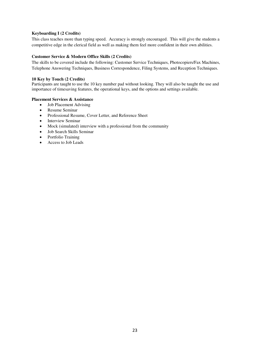#### **Keyboarding I (2 Credits)**

This class teaches more than typing speed. Accuracy is strongly encouraged. This will give the students a competitive edge in the clerical field as well as making them feel more confident in their own abilities.

#### **Customer Service & Modern Office Skills (2 Credits)**

The skills to be covered include the following: Customer Service Techniques, Photocopiers/Fax Machines, Telephone Answering Techniques, Business Correspondence, Filing Systems, and Reception Techniques.

#### **10 Key by Touch (2 Credits)**

Participants are taught to use the 10 key number pad without looking. They will also be taught the use and importance of timesaving features, the operational keys, and the options and settings available.

#### **Placement Services & Assistance**

- Job Placement Advising
- Resume Seminar
- Professional Resume, Cover Letter, and Reference Sheet
- Interview Seminar
- Mock (simulated) interview with a professional from the community
- Job Search Skills Seminar
- Portfolio Training
- Access to Job Leads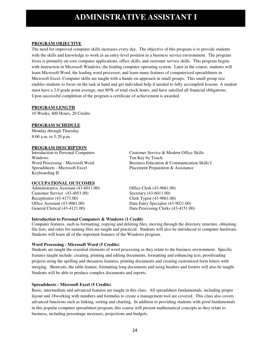### **ADMINISTRATIVE ASSISTANT I**

#### **PROGRAM OBJECTIVE**

The need for improved computer skills increases every day. The objective of this program is to provide students with the skills and knowledge to work in an entry-level position in a business service environment. The program focus is primarily on core computer applications, office skills, and customer service skills. This program begins with instruction in Microsoft Windows, the leading computer operating system. Later in the course, students will learn Microsoft Word, the leading word processor, and learn many features of computerized spreadsheets in Microsoft Excel. Computer skills are taught with a hands-on approach in small groups. This small group size enables students to focus on the task at hand and get individual help if needed to fully accomplish lessons. A student must have a 2.0 grade point average, met 80**%** of total clock hours, and have satisfied all financial obligations. Upon successful completion of the program a certificate of achievement is awarded.

#### **PROGRAM LENGTH**

10 Weeks, 400 Hours, 20 Credits

#### **PROGRAM SCHEDULE**

Monday through Thursday 8:00 a.m. to 5:20 p.m.

#### **PROGRAM DESCRIPTION**

Windows Ten Key by Touch Keyboarding II

#### **OCCUPATIONAL OUTCOMES**

Administrative Assistant (43-6011.00) Office Clerk (43-9061.00) Customer Service (43-4051.00) Secretary (43-6011.00) Receptionist (43-4171.00) Clerk Typist (43-9061.00) Office Assistant (43-9061.00) Data Entry Specialist (43-9021.00) General Clerical (43-4121.00) Data Processing Clerks (43-4151.00)

Introduction to Personal Computers Customer Service & Modern Office Skills Word Processing - Microsoft Word Business Education & Communication Skills I<br>
Spreadsheets - Microsoft Excel Placement Preparation & Assistance Placement Preparation & Assistance

#### **Introduction to Personal Computers & Windows (1 Credit)**

Computer features, such as formatting, copying and deleting files, moving through the directory structure, obtaining file lists, and rules for naming files are taught and practiced. Students will also be introduced to computer hardware. Students will learn all of the important features of the Windows program.

#### **Word Processing - Microsoft Word (5 Credits)**

Students are taught the essential elements of word processing as they relate to the business environment. Specific features taught include: creating, printing and editing documents, formatting and enhancing text, proofreading projects using the spelling and thesaurus features, printing documents and creating customized form letters with merging. Shortcuts, the table feature, formatting long documents and using headers and footers will also be taught. Students will be able to produce complex documents and reports.

#### **Spreadsheets - Microsoft Excel (5 Credits)**

Basic, intermediate and advanced features are taught in this class. All spreadsheet fundamentals, including proper layout and 18working with numbers and formulas to create a management tool are covered. This class also covers advanced functions such as linking, sorting and charting. In addition to providing students with good fundamentals in this popular computer spreadsheet program, this course will present mathematical concepts as they relate to business, including percentage increases, projections and budgets.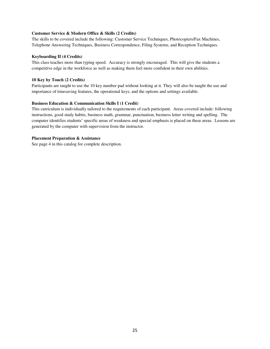#### **Customer Service & Modern Office & Skills (2 Credits)**

The skills to be covered include the following: Customer Service Techniques, Photocopiers/Fax Machines, Telephone Answering Techniques, Business Correspondence, Filing Systems, and Reception Techniques.

#### **Keyboarding II (4 Credits)**

This class teaches more than typing speed. Accuracy is strongly encouraged. This will give the students a competitive edge in the workforce as well as making them feel more confident in their own abilities.

#### **10 Key by Touch (2 Credits)**

Participants are taught to use the 10 key number pad without looking at it. They will also be taught the use and importance of timesaving features, the operational keys, and the options and settings available.

#### **Business Education & Communication Skills I (1 Credit)**

This curriculum is individually tailored to the requirements of each participant. Areas covered include: following instructions, good study habits, business math, grammar, punctuation, business letter writing and spelling. The computer identifies students' specific areas of weakness and special emphasis is placed on these areas. Lessons are generated by the computer with supervision from the instructor.

#### **Placement Preparation & Assistance**

See page 4 in this catalog for complete description.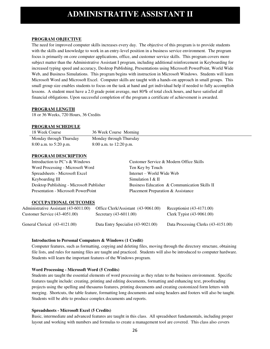#### **PROGRAM OBJECTIVE**

The need for improved computer skills increases every day. The objective of this program is to provide students with the skills and knowledge to work in an entry-level position in a business service environment. The program focus is primarily on core computer applications, office, and customer service skills. This program covers more subject matter than the Administrative Assistant I program, including additional reinforcement in Keyboarding for increased typing speed and accuracy, Desktop Publishing, Presentations using Microsoft PowerPoint, World Wide Web, and Business Simulations. This program begins with instruction in Microsoft Windows. Students will learn Microsoft Word and Microsoft Excel. Computer skills are taught with a hands-on approach in small groups. This small group size enables students to focus on the task at hand and get individual help if needed to fully accomplish lessons. A student must have a 2.0 grade point average, met 80**%** of total clock hours, and have satisfied all financial obligations. Upon successful completion of the program a certificate of achievement is awarded.

#### **PROGRAM LENGTH**

18 or 36 Weeks, 720 Hours, 36 Credits

#### **PROGRAM SCHEDULE**

| 18 Week Course          | 36 Week Course Morning  |
|-------------------------|-------------------------|
| Monday through Thursday | Monday through Thursday |
| 8:00 a.m. to 5:20 p.m.  | 8:00 a.m. to 12:20 p.m. |

#### **PROGRAM DESCRIPTION**

Introduction to PC's & Windows Customer Service & Modern Office Skills Word Processing - Microsoft Word Ten Key by Touch Spreadsheets - Microsoft Excel Internet – World Wide Web Keyboarding III Simulation I & II Desktop Publishing - Microsoft Publisher Business Education & Communication Skills II Presentation - Microsoft PowerPoint Placement Preparation & Assistance

#### **OCCUPATIONAL OUTCOMES**

| Administrative Assistant (43-6011.00) | Office Clerk/Assistant (43-9061.00) | Receptionist $(43-4171.00)$         |
|---------------------------------------|-------------------------------------|-------------------------------------|
| Customer Service $(43-4051.00)$       | Secretary $(43-6011.00)$            | Clerk Typist $(43-9061.00)$         |
| General Clerical (43-4121.00)         | Data Entry Specialist (43-9021.00)  | Data Processing Clerks (43-4151.00) |

#### **Introduction to Personal Computers & Windows (1 Credit)**

Computer features, such as formatting, copying and deleting files, moving through the directory structure, obtaining file lists, and rules for naming files are taught and practiced. Students will also be introduced to computer hardware. Students will learn the important features of the Windows program.

#### **Word Processing - Microsoft Word (5 Credits)**

Students are taught the essential elements of word processing as they relate to the business environment. Specific features taught include: creating, printing and editing documents, formatting and enhancing text, proofreading projects using the spelling and thesaurus features, printing documents and creating customized form letters with merging. Shortcuts, the table feature, formatting long documents and using headers and footers will also be taught. Students will be able to produce complex documents and reports.

#### **Spreadsheets - Microsoft Excel (5 Credits)**

Basic, intermediate and advanced features are taught in this class. All spreadsheet fundamentals, including proper layout and working with numbers and formulas to create a management tool are covered. This class also covers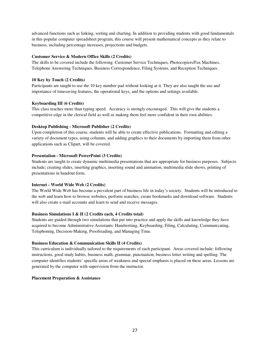advanced functions such as linking, sorting and charting. In addition to providing students with good fundamentals in this popular computer spreadsheet program, this course will present mathematical concepts as they relate to business, including percentage increases, projections and budgets.

#### **Customer Service & Modern Office Skills (2 Credits)**

The skills to be covered include the following: Customer Service Techniques, Photocopiers/Fax Machines, Telephone Answering Techniques, Business Correspondence, Filing Systems, and Reception Techniques.

#### **10 Key by Touch (2 Credits)**

Participants are taught to use the 10 key number pad without looking at it. They are also taught the use and importance of timesaving features, the operational keys, and the options and settings available.

#### **Keyboarding III (6 Credits)**

This class teaches more than typing speed. Accuracy is strongly encouraged. This will give the students a competitive edge in the clerical field as well as making them feel more confident in their own abilities.

#### **Desktop Publishing - Microsoft Publisher (2 Credits)**

Upon completion of this course, students will be able to create effective publications. Formatting and editing a variety of document types, using columns, and adding graphics to their documents by importing them from other applications such as Clipart, will be covered.

#### **Presentation - Microsoft PowerPoint (3 Credits)**

Students are taught to create dynamic multimedia presentations that are appropriate for business purposes. Subjects include; creating slides, inserting graphics, inserting sound and animation, multimedia slide shows, printing of presentations in handout form.

#### **Internet - World Wide Web (2 Credits)**

The World Wide Web has become a prevalent part of business life in today's society. Students will be introduced to the web and learn how to browse websites, perform searches, create bookmarks and download software. Students will also create e-mail accounts and learn to send and receive messages.

#### **Business Simulations I & II (2 Credits each, 4 Credits total)**

Students are guided through two simulations that put into practice and apply the skills and knowledge they have acquired to become Administrative Assistants: Handwriting, Keyboarding, Filing, Calculating, Communicating, Telephoning, Decision-Making, Proofreading, and Managing Time.

#### **Business Education & Communication Skills II (4 Credits)**

This curriculum is individually tailored to the requirements of each participant. Areas covered include: following instructions, good study habits, business math, grammar, punctuation, business letter writing and spelling. The computer identifies students' specific areas of weakness and special emphasis is placed on these areas. Lessons are generated by the computer with supervision from the instructor.

#### **Placement Preparation & Assistance**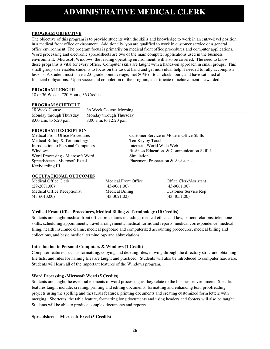### **ADMINISTRATIVE MEDICAL CLERK**

#### **PROGRAM OBJECTIVE**

The objective of this program is to provide students with the skills and knowledge to work in an entry-level position in a medical front office environment. Additionally, you are qualified to work in customer service or a general office environment. The program focus is primarily on medical front office procedures and computer applications. Word processing and electronic spreadsheets are two of the main computer applications used in the business environment. Microsoft Windows, the leading operating environment, will also be covered. The need to know these programs is vital for every office. Computer skills are taught with a hands-on approach in small groups. This small group size enables students to focus on the task at hand and get individual help if needed to fully accomplish lessons. A student must have a 2.0 grade point average, met 80**%** of total clock hours, and have satisfied all financial obligations. Upon successful completion of the program, a certificate of achievement is awarded.

#### **PROGRAM LENGTH**

18 or 36 Weeks, 720 Hours, 36 Credits

#### **PROGRAM SCHEDULE**

| 18 Week Course          | 36 Week Course Morning    |
|-------------------------|---------------------------|
| Monday through Thursday | Monday through Thursday   |
| 8:00 a.m. to 5:20 p.m.  | $8:00$ a.m. to 12:20 p.m. |

#### **PROGRAM DESCRIPTION**

Medical Front Office Procedures Customer Service & Modern Office Skills Medical Billing & Terminology Ten Key by Touch Introduction to Personal Computers Internet - World Wide Web Windows Business Education & Communication Skill I Word Processing - Microsoft Word Simulation Spreadsheets - Microsoft Excel Placement Preparation & Assistance Keyboarding III

#### **OCCUPATIONAL OUTCOMES**

Medical Office Clerk (29-2071.00) Medical Office Receptionist (43-6013.00)

Medical Front Office (43-9061.00) Medical Billing (43-3021.02)

Office Clerk/Assistant (43-9061.00) Customer Service Rep (43-4051.00)

#### **Medical Front Office Procedures, Medical Billing & Terminology (10 Credits)**

Students are taught medical front office procedures including: medical ethics and law, patient relations, telephone skills, scheduling appointments, travel arrangements, medical forms and reports, medical correspondence, medical filing, health insurance claims, medical pegboard and computerized accounting procedures, medical billing and collections, and basic medical terminology and abbreviations.

#### **Introduction to Personal Computers & Windows (1 Credit)**

Computer features, such as formatting, copying and deleting files, moving through the directory structure, obtaining file lists, and rules for naming files are taught and practiced. Students will also be introduced to computer hardware. Students will learn all of the important features of the Windows program.

#### **Word Processing -Microsoft Word (5 Credits)**

Students are taught the essential elements of word processing as they relate to the business environment. Specific features taught include: creating, printing and editing documents, formatting and enhancing text, proofreading projects using the spelling and thesaurus features, printing documents and creating customized form letters with merging. Shortcuts, the table feature, formatting long documents and using headers and footers will also be taught. Students will be able to produce complex documents and reports.

#### **Spreadsheets - Microsoft Excel (5 Credits)**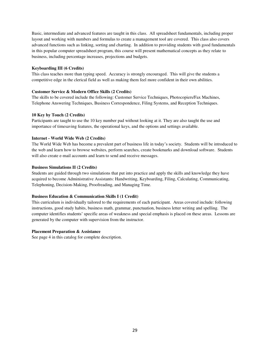Basic, intermediate and advanced features are taught in this class. All spreadsheet fundamentals, including proper layout and working with numbers and formulas to create a management tool are covered. This class also covers advanced functions such as linking, sorting and charting. In addition to providing students with good fundamentals in this popular computer spreadsheet program, this course will present mathematical concepts as they relate to business, including percentage increases, projections and budgets.

#### **Keyboarding III (6 Credits)**

This class teaches more than typing speed. Accuracy is strongly encouraged. This will give the students a competitive edge in the clerical field as well as making them feel more confident in their own abilities.

#### **Customer Service & Modern Office Skills (2 Credits)**

The skills to be covered include the following: Customer Service Techniques, Photocopiers/Fax Machines, Telephone Answering Techniques, Business Correspondence, Filing Systems, and Reception Techniques.

#### **10 Key by Touch (2 Credits)**

Participants are taught to use the 10 key number pad without looking at it. They are also taught the use and importance of timesaving features, the operational keys, and the options and settings available.

#### **Internet - World Wide Web (2 Credits)**

The World Wide Web has become a prevalent part of business life in today's society. Students will be introduced to the web and learn how to browse websites, perform searches, create bookmarks and download software. Students will also create e-mail accounts and learn to send and receive messages.

#### **Business Simulations II (2 Credits)**

Students are guided through two simulations that put into practice and apply the skills and knowledge they have acquired to become Administrative Assistants: Handwriting, Keyboarding, Filing, Calculating, Communicating, Telephoning, Decision-Making, Proofreading, and Managing Time.

#### **Business Education & Communication Skills I (1 Credit)**

This curriculum is individually tailored to the requirements of each participant. Areas covered include: following instructions, good study habits, business math, grammar, punctuation, business letter writing and spelling. The computer identifies students' specific areas of weakness and special emphasis is placed on these areas. Lessons are generated by the computer with supervision from the instructor.

#### **Placement Preparation & Assistance**

See page 4 in this catalog for complete description.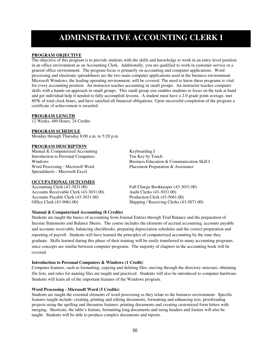### **ADMINISTRATIVE ACCOUNTING CLERK I**

#### **PROGRAM OBJECTIVE**

The objective of this program is to provide students with the skills and knowledge to work in an entry-level position in an office environment as an Accounting Clerk. Additionally, you are qualified to work in customer service or a general office environment. The program focus is primarily on accounting and computer applications. Word processing and electronic spreadsheets are the two main computer applications used in the business environment. Microsoft Windows, the leading operating environment, will be covered. The need to know these programs is vital for every accounting position. An instructor teaches accounting in small groups. An instructor teaches computer skills with a hands-on approach in small groups. This small group size enables students to focus on the task at hand and get individual help if needed to fully accomplish lessons. A student must have a 2.0 grade point average, met 80**%** of total clock hours, and have satisfied all financial obligations. Upon successful completion of the program a certificate of achievement is awarded.

#### **PROGRAM LENGTH**

12 Weeks, 480 Hours, 24 Credits

#### **PROGRAM SCHEDULE**

Monday through Thursday 8:00 a.m. to 5:20 p.m.

#### **PROGRAM DESCRIPTION**

Manual & Computerized Accounting Keyboarding I Introduction to Personal Computers Ten Key by Touch Word Processing - Microsoft Word Placement Preparation & Assistance Spreadsheets - Microsoft Excel

#### **OCCUPATIONAL OUTCOMES**

Accounts Receivable Clerk (43-3031.00) Audit Clerks (43-3031.00) Accounts Payable Clerk (43-3031.00) Production Clerk (43-5061.00)

#### **Manual & Computerized Accounting (8 Credits)**

Windows Business Education & Communication Skill I

Accounting Clerk (43-3031.00) Full Charge Bookkeeper (43-3031.00) Office Clerk (43-9061.00) Shipping / Receiving Clerks (43-5071.00)

Students are taught the basics of accounting from Journal Entries through Trial Balance and the preparation of Income Statements and Balance Sheets. The course includes the elements of accrual accounting, accounts payable and accounts receivable, balancing checkbooks, preparing depreciation schedules and the correct preparation and reporting of payroll. Students will have learned the principles of computerized accounting by the time they graduate. Skills learned during this phase of their training will be easily transferred to many accounting programs, since concepts are similar between computer programs. The majority of chapters in the accounting book will be covered.

#### **Introduction to Personal Computers & Windows (1 Credit)**

Computer features, such as formatting, copying and deleting files, moving through the directory structure, obtaining file lists, and rules for naming files are taught and practiced. Students will also be introduced to computer hardware. Students will learn all of the important features of the Windows program.

#### **Word Processing - Microsoft Word (5 Credits)**

Students are taught the essential elements of word processing as they relate to the business environment. Specific features taught include: creating, printing and editing documents, formatting and enhancing text, proofreading projects using the spelling and thesaurus features, printing documents and creating customized form letters with merging. Shortcuts, the table's feature, formatting long documents and using headers and footers will also be taught. Students will be able to produce complex documents and reports.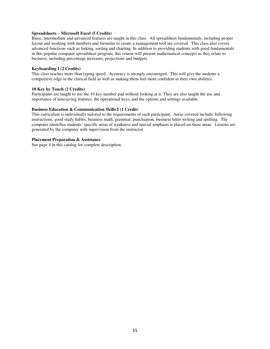#### **Spreadsheets – Microsoft Excel (5 Credits)**

Basic, intermediate and advanced features are taught in this class. All spreadsheet fundamentals, including proper layout and working with numbers and formulas to create a management tool are covered. This class also covers advanced functions such as linking, sorting and charting. In addition to providing students with good fundamentals in this popular computer spreadsheet program, this course will present mathematical concepts as they relate to business, including percentage increases, projections and budgets.

#### **Keyboarding I (2 Credits)**

This class teaches more than typing speed. Accuracy is strongly encouraged. This will give the students a competitive edge in the clerical field as well as making them feel more confident in their own abilities.

#### **10 Key by Touch (2 Credits)**

Participants are taught to use the 10 key number pad without looking at it. They are also taught the use and importance of timesaving features, the operational keys, and the options and settings available.

#### **Business Education & Communication Skills I (1 Credit)**

This curriculum is individually tailored to the requirements of each participant. Areas covered include: following instructions, good study habits, business math, grammar, punctuation, business letter writing and spelling. The computer identifies students' specific areas of weakness and special emphasis is placed on these areas. Lessons are generated by the computer with supervision from the instructor.

#### **Placement Preparation & Assistance**

See page 4 in this catalog for complete description.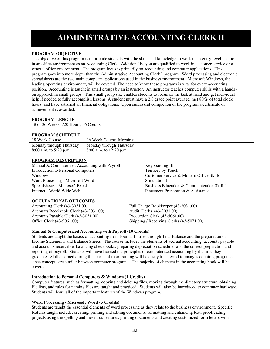# **ADMINISTRATIVE ACCOUNTING CLERK II**

#### **PROGRAM OBJECTIVE**

The objective of this program is to provide students with the skills and knowledge to work in an entry-level position in an office environment as an Accounting Clerk. Additionally, you are qualified to work in customer service or a general office environment. The program focus is primarily on accounting and computer applications. This program goes into more depth than the Administrative Accounting Clerk I program. Word processing and electronic spreadsheets are the two main computer applications used in the business environment. Microsoft Windows, the leading operating environment, will be covered. The need to know these programs is vital for every accounting position. Accounting is taught in small groups by an instructor. An instructor teaches computer skills with a handson approach in small groups. This small group size enables students to focus on the task at hand and get individual help if needed to fully accomplish lessons. A student must have a 2.0 grade point average, met 80**%** of total clock hours, and have satisfied all financial obligations. Upon successful completion of the program a certificate of achievement is awarded.

#### **PROGRAM LENGTH**

18 or 36 Weeks, 720 Hours, 36 Credits

#### **PROGRAM SCHEDULE**

| 18 Week Course                                      | 36 Week Course Morning                               |  |
|-----------------------------------------------------|------------------------------------------------------|--|
| Monday through Thursday<br>$8:00$ a.m. to 5:20 p.m. | Monday through Thursday<br>8:00 a.m. to $12:20$ p.m. |  |

#### **PROGRAM DESCRIPTION**

Manual & Computerized Accounting with Payroll Keyboarding III Introduction to Personal Computers Ten Key by Touch Windows Customer Service & Modern Office Skills Word Processing - Microsoft Word Simulation I Spreadsheets - Microsoft Excel Business Education & Communication Skill I Internet - World Wide Web Placement Preparation & Assistance

#### **OCCUPATIONAL OUTCOMES**

Accounts Receivable Clerk (43-3031.00) Audit Clerks (43-3031.00) Accounts Payable Clerk (43-3031.00) Production Clerk (43-5061.00)

Accounting Clerk (43-3031.00) Full Charge Bookkeeper (43-3031.00) Office Clerk (43-9061.00) Shipping / Receiving Clerks (43-5071.00)

#### **Manual & Computerized Accounting with Payroll (10 Credits)**

Students are taught the basics of accounting from Journal Entries through Trial Balance and the preparation of Income Statements and Balance Sheets. The course includes the elements of accrual accounting, accounts payable and accounts receivable, balancing checkbooks, preparing depreciation schedules and the correct preparation and reporting of payroll. Students will have learned the principles of computerized accounting by the time they graduate. Skills learned during this phase of their training will be easily transferred to many accounting programs, since concepts are similar between computer programs. The majority of chapters in the accounting book will be covered.

#### **Introduction to Personal Computers & Windows (1 Credits)**

Computer features, such as formatting, copying and deleting files, moving through the directory structure, obtaining file lists, and rules for naming files are taught and practiced. Students will also be introduced to computer hardware. Students will learn all of the important features of the Windows program.

#### **Word Processing - Microsoft Word (5 Credits)**

Students are taught the essential elements of word processing as they relate to the business environment. Specific features taught include: creating, printing and editing documents, formatting and enhancing text, proofreading projects using the spelling and thesaurus features, printing documents and creating customized form letters with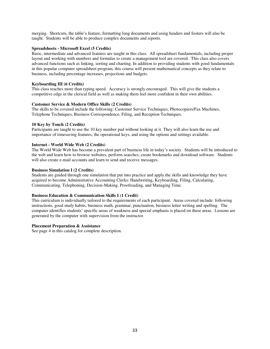merging. Shortcuts, the table's feature, formatting long documents and using headers and footers will also be taught. Students will be able to produce complex documents and reports.

#### **Spreadsheets - Microsoft Excel (5 Credits)**

Basic, intermediate and advanced features are taught in this class. All spreadsheet fundamentals, including proper layout and working with numbers and formulas to create a management tool are covered. This class also covers advanced functions such as linking, sorting and charting. In addition to providing students with good fundamentals in this popular computer spreadsheet program, this course will present mathematical concepts as they relate to business, including percentage increases, projections and budgets.

#### **Keyboarding III (6 Credits)**

This class teaches more than typing speed. Accuracy is strongly encouraged. This will give the students a competitive edge in the clerical field as well as making them feel more confident in their own abilities.

#### **Customer Service & Modern Office Skills (2 Credits)**

The skills to be covered include the following: Customer Service Techniques, Photocopiers/Fax Machines, Telephone Techniques, Business Correspondence, Filing, and Reception Techniques.

#### **10 Key by Touch (2 Credits)**

Participants are taught to use the 10 key number pad without looking at it. They will also learn the use and importance of timesaving features, the operational keys, and using the options and settings available.

#### **Internet - World Wide Web (2 Credits)**

The World Wide Web has become a prevalent part of business life in today's society. Students will be introduced to the web and learn how to browse websites, perform searches, create bookmarks and download software. Students will also create e-mail accounts and learn to send and receive messages.

#### **Business Simulation I (2 Credits)**

Students are guided through one simulation that put into practice and apply the skills and knowledge they have acquired to become Administrative Accounting Clerks: Handwriting, Keyboarding, Filing, Calculating, Communicating, Telephoning, Decision-Making, Proofreading, and Managing Time.

#### **Business Education & Communication Skills I (1 Credit)**

This curriculum is individually tailored to the requirements of each participant. Areas covered include: following instructions, good study habits, business math, grammar, punctuation, business letter writing and spelling. The computer identifies students' specific areas of weakness and special emphasis is placed on these areas. Lessons are generated by the computer with supervision from the instructor.

#### **Placement Preparation & Assistance**

See page 4 in this catalog for complete description.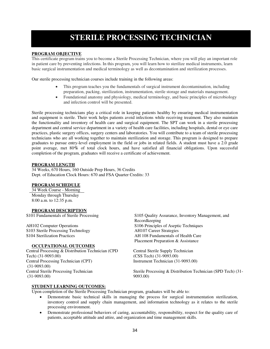# **STERILE PROCESSING TECHNICIAN**

#### **PROGRAM OBJECTIVE**

This certificate program trains you to become a Sterile Processing Technician, where you will play an important role in patient care by preventing infections. In this program, you will learn how to sterilize medical instruments, learn basic surgical instrumentation and medical terminology as well as decontamination and sterilization processes.

Our sterile processing technician courses include training in the following areas:

- This program teaches you the fundamentals of surgical instrument decontamination, including preparation, packing, sterilization, instrumentation, sterile storage and materials management.
- Foundational anatomy and physiology, medical terminology, and basic principles of microbiology and infection control will be presented.

Sterile processing technicians play a critical role in keeping patients healthy by ensuring medical instrumentation and equipment is sterile. Their work helps patients avoid infections while receiving treatment. They also maintain the functionality and inventory of health care and surgical equipment. The SPT can work in a sterile processing department and central service department in a variety of health care facilities, including hospitals, dental or eye care practices, plastic surgery offices, surgery centers and laboratories. You will contribute to a team of sterile processing technicians who are all working together to maintain sterilization and storage. This program is designed to prepare graduates to pursue entry-level employment in the field or jobs in related fields. A student must have a 2.0 grade point average, met 80**%** of total clock hours, and have satisfied all financial obligations. Upon successful completion of the program, graduates will receive a certificate of achievement.

#### **PROGRAM LENGTH**

34 Weeks, 670 Hours, 160 Outside Prep Hours, 36 Credits Dept. of Education Clock Hours: 670 and FSA Quarter Credits: 33

#### **PROGRAM SCHEDULE**

34 Week Course - Morning Monday through Thursday 8:00 a.m. to 12:35 p.m.

**PROGRAM DESCRIPTION**<br>S101 Fundamentals of Sterile Processing

S103 Sterile Processing Technology

#### **OCCUPATIONAL OUTCOMES**

Central Processing & Distribution Technician (CPD Tech) (31-9093.00) Central Processing Technician (CPT) (31-9093.00) Central Sterile Processing Technician (31-9093.00)

S105 Quality Assurance, Inventory Management, and Recordkeeping AH102 Computer Operations<br>S103 Sterile Processing Technology<br>AH107 Career Strategies S104 Sterilization Practices AH 108 Fundamentals of Health Care Placement Preparation & Assistance

> Central Sterile Supply Technician (CSS Tech) (31-9093.00) Instrument Technician (31-9093.00)

Sterile Processing & Distribution Technician (SPD Tech) (31- 9093.00)

#### **STUDENT LEARNING OUTCOMES:**

Upon completion of the Sterile Processing Technician program, graduates will be able to:

- Demonstrate basic technical skills in managing the process for surgical instrumentation sterilization, inventory control and supply chain management, and information technology as it relates to the sterile processing environment.
- Demonstrate professional behaviors of caring, accountability, responsibility, respect for the quality care of patients, acceptable attitude and attire, and organization and time management skills.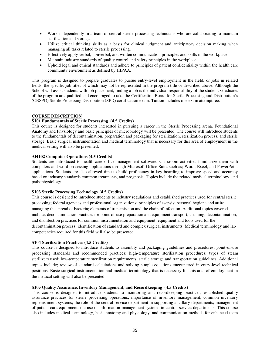- Work independently in a team of central sterile processing technicians who are collaborating to maintain sterilization and storage.
- Utilize critical thinking skills as a basis for clinical judgment and anticipatory decision making when managing all tasks related to sterile processing.
- Effectively apply verbal, nonverbal, and written communication principles and skills in the workplace.
- Maintain industry standards of quality control and safety principles in the workplace.
- Uphold legal and ethical standards and adhere to principles of patient confidentiality within the health care community environment as defined by HIPAA.

This program is designed to prepare graduates to pursue entry-level employment in the field, or jobs in related fields, the specific job titles of which may not be represented in the program title or described above. Although the School will assist students with job placement, finding a job is the individual responsibility of the student. Graduates of the program are qualified and encouraged to take the Certification Board for Sterile Processing and Distribution's (CBSPD) Sterile Processing Distribution (SPD) certification exam. Tuition includes one exam attempt fee.

#### **COURSE DESCRIPTION**

#### **S101 Fundamentals of Sterile Processing (4.5 Credits)**

This course is designed for students interested in pursuing a career in the Sterile Processing arena. Foundational Anatomy and Physiology and basic principles of microbiology will be presented. The course will introduce students to the fundamentals of decontamination, preparation and packaging for sterilization, sterilization process, and sterile storage. Basic surgical instrumentation and medical terminology that is necessary for this area of employment in the medical setting will also be presented.

#### **AH102 Computer Operations (4.5 Credits)**

Students are introduced to health-care office management software. Classroom activities familiarize them with computers and word processing applications through Microsoft Office Suite such as; Word, Excel, and PowerPoint applications. Students are also allowed time to build proficiency in key boarding to improve speed and accuracy based on industry standards common treatments, and prognosis. Topics include the related medical terminology, and pathophysiology.

#### **S103 Sterile Processing Technology (4.5 Credits)**

This course is designed to introduce students to industry regulations and established practices used for central sterile processing; federal agencies and professional organizations; principles of asepsis; personal hygiene and attire; managing the spread of bacteria; elements of transmission and the chain of infection. Additional topics covered include; decontamination practices for point-of-use preparation and equipment transport; cleaning, decontamination, and disinfection practices for common instrumentation and equipment; equipment and tools used for the decontamination process; identification of standard and complex surgical instruments. Medical terminology and lab competencies required for this field will also be presented.

#### **S104 Sterilization Practices (4.5 Credits)**

This course is designed to introduce students to assembly and packaging guidelines and procedures; point-of-use processing standards and recommended practices; high-temperature sterilization procedures; types of steam sterilizers used; low-temperature sterilization requirements; sterile storage and transportation guidelines. Additional topics include; review of standard calculations and solving simple equations encountered in entry-level technical positions. Basic surgical instrumentation and medical terminology that is necessary for this area of employment in the medical setting will also be presented.

#### **S105 Quality Assurance, Inventory Management, and Recordkeeping (4.5 Credits)**

This course is designed to introduce students to monitoring and recordkeeping practices; established quality assurance practices for sterile processing operations; importance of inventory management; common inventory replenishment systems; the role of the central service department in supporting ancillary departments; management of patient care equipment; the use of information management systems in central service departments. This course also includes medical terminology, basic anatomy and physiology, and communication methods for enhanced team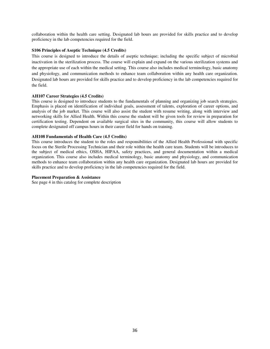collaboration within the health care setting. Designated lab hours are provided for skills practice and to develop proficiency in the lab competencies required for the field.

#### **S106 Principles of Aseptic Technique (4.5 Credits)**

This course is designed to introduce the details of aseptic technique; including the specific subject of microbial inactivation in the sterilization process. The course will explain and expand on the various sterilization systems and the appropriate use of each within the medical setting. This course also includes medical terminology, basic anatomy and physiology, and communication methods to enhance team collaboration within any health care organization. Designated lab hours are provided for skills practice and to develop proficiency in the lab competencies required for the field.

#### **AH107 Career Strategies (4.5 Credits)**

This course is designed to introduce students to the fundamentals of planning and organizing job search strategies. Emphasis is placed on identification of individual goals, assessment of talents, exploration of career options, and analysis of the job market. This course will also assist the student with resume writing, along with interview and networking skills for Allied Health. Within this course the student will be given tools for review in preparation for certification testing. Dependent on available surgical sites in the community, this course will allow students to complete designated off campus hours in their career field for hands on training.

#### **AH108 Fundamentals of Health Care (4.5 Credits)**

This course introduces the student to the roles and responsibilities of the Allied Health Professional with specific focus on the Sterile Processing Technician and their role within the health care team. Students will be introduces to the subject of medical ethics, OSHA, HIPAA, safety practices, and general documentation within a medical organization. This course also includes medical terminology, basic anatomy and physiology, and communication methods to enhance team collaboration within any health care organization. Designated lab hours are provided for skills practice and to develop proficiency in the lab competencies required for the field.

#### **Placement Preparation & Assistance**

See page 4 in this catalog for complete description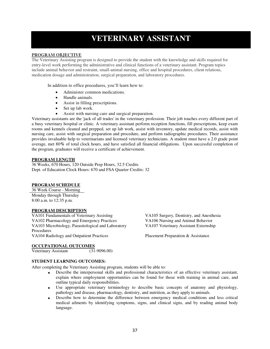# **VETERINARY ASSISTANT**

#### **PROGRAM OBJECTIVE**

The Veterinary Assisting program is designed to provide the student with the knowledge and skills required for entry-level work performing the administrative and clinical functions of a veterinary assistant. Program topics include animal behavior and restraint, small-animal nursing, office and hospital procedures, client relations, medication dosage and administration, surgical preparation, and laboratory procedures.

In addition to office procedures, you'll learn how to:

- Administer common medications.
- Handle animals.
- Assist in filling prescriptions.
- Set up lab work.
- Assist with nursing care and surgical preparation.

Veterinary assistants are the 'jack of all trades' in the veterinary profession. Their job touches every different part of a busy veterinary hospital or clinic. A veterinary assistant perform reception functions, fill prescriptions, keep exam rooms and kennels cleaned and prepped, set up lab work, assist with inventory, update medical records, assist with nursing care, assist with surgical preparation and procedure, and perform radiographic procedures. Their assistance provides invaluable help to veterinarians and licensed veterinary technicians. A student must have a 2.0 grade point average, met 80**%** of total clock hours, and have satisfied all financial obligations. Upon successful completion of the program, graduates will receive a certificate of achievement.

#### **PROGRAM LENGTH**

36 Weeks, 670 Hours, 120 Outside Prep Hours, 32.5 Credits Dept. of Education Clock Hours: 670 and FSA Quarter Credits: 32

#### **PROGRAM SCHEDULE**

36 Week Course - Morning Monday through Thursday 8:00 a.m. to 12:35 p.m.

#### **PROGRAM DESCRIPTION**

VA101 Fundamentals of Veterinary Assisting VA105 Surgery, Dentistry, and Anesthesia VA102 Pharmacology and Emergency Practices VA106 Nursing and Animal Behavior VA103 Microbiology, Parasitological and Laboratory Procedures VA104 Radiology and Outpatient Practices Placement Preparation & Assistance

VA107 Veterinary Assistant Externship

#### **OCCUPATIONAL OUTCOMES**

Veterinary Assistant (31-9096.00)

#### **STUDENT LEARNING OUTCOMES:**

After completing the Veterinary Assisting program, students will be able to:

- Describe the interpersonal skills and professional characteristics of an effective veterinary assistant, explain where employment opportunities can be found for those with training in animal care, and outline typical daily responsibilities.
- Use appropriate veterinary terminology to describe basic concepts of anatomy and physiology, pathology and disease, pharmacology, dentistry, and nutrition, as they apply to animals.
- Describe how to determine the difference between emergency medical conditions and less critical medical ailments by identifying symptoms, signs, and clinical signs, and by reading animal body language.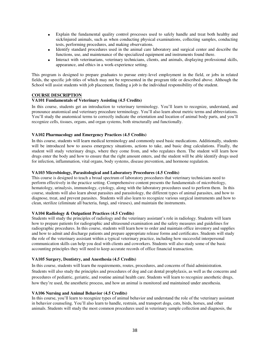- Explain the fundamental quality control processes used to safely handle and treat both healthy and sick/injured animals, such as when conducting physical examinations, collecting samples, conducting tests, performing procedures, and making observations.
- Identify standard procedures used in the animal care laboratory and surgical center and describe the functions, use, and maintenance of the specialized equipment and instruments found there.
- Interact with veterinarians, veterinary technicians, clients, and animals, displaying professional skills, appearance, and ethics in a work-experience setting.

This program is designed to prepare graduates to pursue entry-level employment in the field, or jobs in related fields, the specific job titles of which may not be represented in the program title or described above. Although the School will assist students with job placement, finding a job is the individual responsibility of the student.

#### **COURSE DESCRIPTION**

#### **VA101 Fundamentals of Veterinary Assisting (4.5 Credits)**

In this course, students get an introduction to veterinary terminology. You'll learn to recognize, understand, and pronounce anatomical and veterinary procedure terminology. You'll also learn about metric terms and abbreviations. You'll study the anatomical terms to correctly indicate the orientation and location of animal body parts, and you'll recognize cells, tissues, organs, and organ systems, both structurally and functionally.

#### **VA102 Pharmacology and Emergency Practices (4.5 Credits)**

In this course, students will learn medical terminology and commonly used basic medications. Additionally, students will be introduced how to assess emergency situations, actions to take, and basic drug calculations. Finally, the student will study veterinary drugs, where they come from, and who regulates them. The student will learn how drugs enter the body and how to ensure that the right amount enters, and the student will be able identify drugs used for infection, inflammation, vital organs, body systems, disease prevention, and hormone regulation.

#### **VA103 Microbiology, Parasitological and Laboratory Procedures (4.5 Credits)**

This course is designed to teach a broad spectrum of laboratory procedures that veterinary technicians need to perform effectively in the practice setting. Comprehensive content presents the fundamentals of microbiology, hematology, urinalysis, immunology, cytology, along with the laboratory procedures used to perform them. In this course, students will also learn about parasites and parasitology, the different types of animal parasites, and how to diagnose, treat, and prevent parasites. Students will also learn to recognize various surgical instruments and how to clean, sterilize (eliminate all bacteria, fungi, and viruses), and maintain the instruments.

#### **VA104 Radiology & Outpatient Practices (4.5 Credits)**

Students will study the principles of radiology and the veterinary assistant's role in radiology. Students will learn how to prepare patients for radiographic and ultrasound examination and the safety measures and guidelines for radiographic procedures. In this course, students will learn how to order and maintain office inventory and supplies and how to admit and discharge patients and prepare appropriate release forms and certificates. Students will study the role of the veterinary assistant within a typical veterinary practice, including how successful interpersonal communication skills can help you deal with clients and coworkers. Students will also study some of the basic accounting principles they will need to keep accurate records of office financial transaction.

#### **VA105 Surgery, Dentistry, and Anesthesia (4.5 Credits)**

In this course, students will learn the requirements, routes, procedures, and concerns of fluid administration. Students will also study the principles and procedures of dog and cat dental prophylaxis, as well as the concerns and procedures of pediatric, geriatric, and routine animal health care. Students will learn to recognize anesthetic drugs, how they're used, the anesthetic process, and how an animal is monitored and maintained under anesthesia.

#### **VA106 Nursing and Animal Behavior (4.5 Credits)**

In this course, you'll learn to recognize types of animal behavior and understand the role of the veterinary assistant in behavior counseling. You'll also learn to handle, restrain, and transport dogs, cats, birds, horses, and other animals. Students will study the most common procedures used in veterinary sample collection and diagnosis, the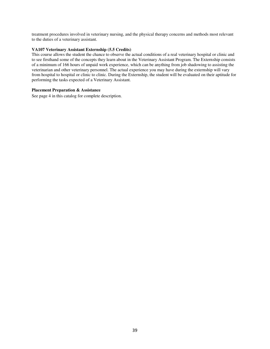treatment procedures involved in veterinary nursing, and the physical therapy concerns and methods most relevant to the duties of a veterinary assistant.

#### **VA107 Veterinary Assistant Externship (5.5 Credits)**

This course allows the student the chance to observe the actual conditions of a real veterinary hospital or clinic and to see firsthand some of the concepts they learn about in the Veterinary Assistant Program. The Externship consists of a minimum of 166 hours of unpaid work experience, which can be anything from job shadowing to assisting the veterinarian and other veterinary personnel. The actual experience you may have during the externship will vary from hospital to hospital or clinic to clinic. During the Externship, the student will be evaluated on their aptitude for performing the tasks expected of a Veterinary Assistant.

#### **Placement Preparation & Assistance**

See page 4 in this catalog for complete description.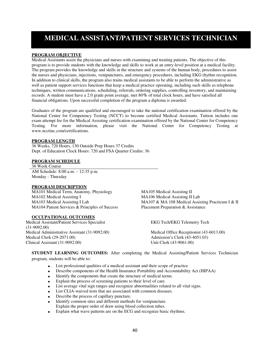### **MEDICAL ASSISTANT/PATIENT SERVICES TECHNICIAN**

#### **PROGRAM OBJECTIVE**

Medical Assistants assist the physicians and nurses with examining and treating patients. The objective of this program is to provide students with the knowledge and skills to work at an entry-level position at a medical facility. The program provides the knowledge and skills in the structure and systems of the human body, procedures to assist the nurses and physicians, injections, venipunctures, and emergency procedures, including EKG rhythm recognition. In addition to clinical skills, the program also trains medical assistants to be able to perform the administrative as well as patient support services functions that keep a medical practice operating, including such skills as telephone techniques, written communications, scheduling, referrals, ordering supplies, controlling inventory, and maintaining records. A student must have a 2.0 grade point average, met 80**%** of total clock hours, and have satisfied all financial obligations. Upon successful completion of the program a diploma is awarded.

Graduates of the program are qualified and encouraged to take the national certification examination offered by the National Center for Competency Testing (NCCT) to become certified Medical Assistants. Tuition includes one exam attempt fee for the Medical Assisting certification examination offered by the National Center for Competency Testing. For more information, please visit the National Center for Competency Testing at www.ncctinc.com/certifications.

#### **PROGRAM LENGTH**

36 Weeks, 720 Hours, 130 Outside Prep Hours 37 Credits Dept. of Education Clock Hours: 720 and FSA Quarter Credits: 36

#### **PROGRAM SCHEDULE**

36 Week Course AM Schedule: 8:00 a.m. – 12:35 p.m. Monday - Thursday

#### **PROGRAM DESCRIPTION**

MA101 Medical Term, Anatomy, Physiology MA105 Medical Assisting II MA102 Medical Assisting I<br>
MA103 Medical Assisting I Lab<br>
MA107 & MA 108 Medical Assis MA104 Patient Services & Principles of Success Placement Preparation & Assistance

#### **OCCUPATIONAL OUTCOMES**

Medical Assistant/Patient Services Specialist (31-9092.00) Medical Administrative Assistant (31-9092.00) Medical Office Receptionist (43-6013.00) Medical Clerk (29-2071.00) Admission's Clerk (43-4051.03) Clinical Assistant (31-9092.00) Unit Clerk (43-9061.00)

MA107 & MA 108 Medical Assisting Practicum I & II

EKG Tech/EKG Telemetry Tech

**STUDENT LEARNING OUTCOMES:** After completing the Medical Assisting/Patient Services Technician program, students will be able to:

- List professional qualities of a medical assistant and their scope of practice
- Describe components of the Health Insurance Portability and Accountability Act (HIPAA)
- Identify the components that create the structure of medical terms.
- Explain the process of screening patients to their level of care.
- List average vital sign ranges and recognize abnormalities related to all vital signs.
- List CLIA-waived tests that are associated with common diseases.
- Describe the process of capillary puncture.
- Identify common sites and different methods for venipuncture. Explain the proper order of draw using blood collection tubes.
- Explain what wave patterns are on the ECG and recognize basic rhythms.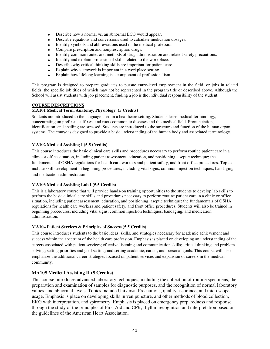- Describe how a normal vs. an abnormal ECG would appear.
- Describe equations and conversions used to calculate medication dosages.
- Identify symbols and abbreviations used in the medical profession.
- Compare prescription and nonprescription drugs.
- Identify common routes and methods of drug administration and related safety precautions.
- Identify and explain professional skills related to the workplace.
- Describe why critical thinking skills are important for patient care.
- Explain why teamwork is important in a workplace setting.
- Explain how lifelong learning is a component of professionalism.

This program is designed to prepare graduates to pursue entry-level employment in the field, or jobs in related fields, the specific job titles of which may not be represented in the program title or described above. Although the School will assist students with job placement, finding a job is the individual responsibility of the student.

#### **COURSE DESCRIPTIONS**

#### **MA101 Medical Term, Anatomy, Physiology (5 Credits)**

Students are introduced to the language used in a healthcare setting. Students learn medical terminology, concentrating on prefixes, suffixes, and roots common to diseases and the medical field. Pronunciation, identification, and spelling are stressed. Students are introduced to the structure and function of the human organ systems. The course is designed to provide a basic understanding of the human body and associated terminology.

#### **MA102 Medical Assisting I (5.5 Credits)**

This course introduces the basic clinical care skills and procedures necessary to perform routine patient care in a clinic or office situation, including patient assessment, education, and positioning, aseptic technique; the fundamentals of OSHA regulations for health care workers and patient safety, and front office procedures. Topics include skill development in beginning procedures, including vital signs, common injection techniques, bandaging, and medication administration.

#### **MA103 Medical Assisting Lab I (5.5 Credits)**

This is a laboratory course that will provide hands-on training opportunities to the students to develop lab skills to perform the basic clinical care skills and procedures necessary to perform routine patient care in a clinic or office situation, including patient assessment, education, and positioning, aseptic technique; the fundamentals of OSHA regulations for health care workers and patient safety, and front office procedures. Students will also be trained in beginning procedures, including vital signs, common injection techniques, bandaging, and medication administration.

#### **MA104 Patient Services & Principles of Success (5.5 Credits)**

This course introduces students to the basic ideas, skills, and strategies necessary for academic achievement and success within the spectrum of the health care profession. Emphasis is placed on developing an understanding of the careers associated with patient services; effective listening and communication skills; critical thinking and problem solving; setting priorities and goal setting; and setting academic, career, and personal goals. This course will also emphasize the additional career strategies focused on patient services and expansion of careers in the medical community.

#### **MA105 Medical Assisting II (5 Credits)**

This course introduces advanced laboratory techniques, including the collection of routine specimens, the preparation and examination of samples for diagnostic purposes, and the recognition of normal laboratory values, and abnormal levels. Topics include Universal Precautions, quality assurance, and microscope usage. Emphasis is place on developing skills in venipuncture, and other methods of blood collection, EKG with interpretation, and spirometry. Emphasis is placed on emergency preparedness and response through the study of the principles of First Aid and CPR; rhythm recognition and interpretation based on the guidelines of the American Heart Association.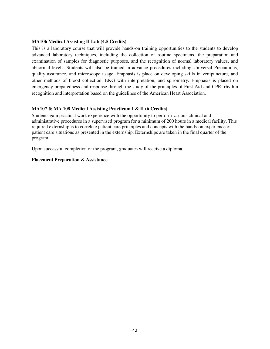#### **MA106 Medical Assisting II Lab (4.5 Credits)**

This is a laboratory course that will provide hands-on training opportunities to the students to develop advanced laboratory techniques, including the collection of routine specimens, the preparation and examination of samples for diagnostic purposes, and the recognition of normal laboratory values, and abnormal levels. Students will also be trained in advance procedures including Universal Precautions, quality assurance, and microscope usage. Emphasis is place on developing skills in venipuncture, and other methods of blood collection, EKG with interpretation, and spirometry. Emphasis is placed on emergency preparedness and response through the study of the principles of First Aid and CPR; rhythm recognition and interpretation based on the guidelines of the American Heart Association.

#### **MA107 & MA 108 Medical Assisting Practicum I & II (6 Credits)**

Students gain practical work experience with the opportunity to perform various clinical and administrative procedures in a supervised program for a minimum of 200 hours in a medical facility. This required externship is to correlate patient care principles and concepts with the hands-on experience of patient care situations as presented in the externship. Externships are taken in the final quarter of the program.

Upon successful completion of the program, graduates will receive a diploma.

#### **Placement Preparation & Assistance**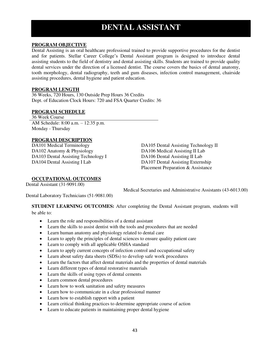### **DENTAL ASSISTANT**

### **PROGRAM OBJECTIVE**

Dental Assisting is an oral healthcare professional trained to provide supportive procedures for the dentist and for patients. Stellar Career College's Dental Assistant program is designed to introduce dental assisting students to the field of dentistry and dental assisting skills. Students are trained to provide quality dental services under the direction of a licensed dentist. The course covers the basics of dental anatomy, tooth morphology, dental radiography, teeth and gum diseases, infection control management, chairside assisting procedures, dental hygiene and patient education.

#### **PROGRAM LENGTH**

36 Weeks, 720 Hours, 130 Outside Prep Hours 36 Credits Dept. of Education Clock Hours: 720 and FSA Quarter Credits: 36

#### **PROGRAM SCHEDULE**

36 Week Course AM Schedule: 8:00 a.m. – 12:35 p.m. Monday - Thursday

# **PROGRAM DESCRIPTION**<br>DA101 Medical Terminology

DA102 Anatomy & Physiology DA106 Medical Assisting II Lab DA103 Dental Assisting Technology I DA106 Dental Assisting II Lab DA104 Dental Assisting I Lab DA107 Dental Assisting Externship

DA105 Dental Assisting Technology II Placement Preparation & Assistance

#### **OCCUPATIONAL OUTCOMES**

Dental Assistant (31-9091.00)

Medical Secretaries and Administrative Assistants (43-6013.00)

Dental Laboratory Technicians (51-9081.00)

**STUDENT LEARNING OUTCOMES:** After completing the Dental Assistant program, students will

be able to:

- Learn the role and responsibilities of a dental assistant
- Learn the skills to assist dentist with the tools and procedures that are needed
- Learn human anatomy and physiology related to dental care
- Learn to apply the principles of dental sciences to ensure quality patient care
- Learn to comply with all applicable OSHA standard
- Learn to apply current concepts of infection control and occupational safety
- Learn about safety data sheets (SDSs) to develop safe work procedures
- Learn the factors that affect dental materials and the properties of dental materials
- Learn different types of dental restorative materials
- Learn the skills of using types of dental cements
- Learn common dental procedures
- Learn how to work sanitation and safety measures
- Learn how to communicate in a clear professional manner
- Learn how to establish rapport with a patient
- Learn critical thinking practices to determine appropriate course of action
- Learn to educate patients in maintaining proper dental hygiene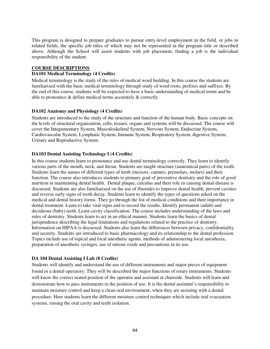This program is designed to prepare graduates to pursue entry-level employment in the field, or jobs in related fields, the specific job titles of which may not be represented in the program title or described above. Although the School will assist students with job placement, finding a job is the individual responsibility of the student.

#### **COURSE DESCRIPTIONS**

#### **DA101 Medical Terminology (4 Credits)**

Medical terminology is the study of the rules of medical word building. In this course the students are familiarized with the basic medical terminology through study of word roots, prefixes and suffixes. By the end of this course, students will be expected to have a basic understanding of medical terms and be able to pronounce & define medical terms accurately & correctly.

#### **DA102 Anatomy and Physiology (4 Credits)**

Students are introduced to the study of the structure and function of the human body. Basic concepts on the levels of structural organization, cells, tissues, organs and systems will be discussed. The course will cover the Integumentary System, Musculoskeletal System, Nervous System, Endocrine System, Cardiovascular System, Lymphatic System, Immune System, Respiratory System, digestive System, Urinary and Reproductive System.

#### **DA103 Dental Assisting Technology I (4 Credits)**

In this course students learn to pronounce and use dental terminology correctly. They learn to identify various parts of the mouth, neck, and throat. Students are taught structure (anatomical parts) of the tooth. Students learn the names of different types of teeth (incisors, canines, premolars, molars) and their function. The course also introduces students to primary goal of preventive dentistry and the role of good nutrition in maintaining dental health. Dental plaque, calculus and their role in causing dental disease is discussed. Students are also familiarized on the use of fluorides to improve dental health, prevent cavities and reverse early signs of tooth decay. Students learn to identify the types of questions asked on the medical and dental history forms. They go through the list of medical conditions and their importance in dental treatment. Learn to take vital signs and to record the results. Identify permanent (adult) and deciduous (baby) teeth. Learn cavity classification. The course includes understanding of the laws and rules of dentistry. Students learn to act in an ethical manner. Students learn the basics of dental jurisprudence describing the legal limitations and regulations related to the practice of dentistry. Information on HIPAA is discussed. Students also learn the differences between privacy, confidentiality and security. Students are introduced to basic pharmacology and its relationship to the dental profession. Topics include use of topical and local anesthetic agents, methods of administering local anesthesia, preparation of anesthetic syringes, use of nitrous oxide and precautions in its use.

#### **DA 104 Dental Assisting I Lab (8 Credits)**

Students will identify and understand the use of different instruments and major pieces of equipment found in a dental operatory. They will be described the major functions of rotary instruments. Students will know the correct seated position of the operator and assistant at chairside. Students will learn and demonstrate how to pass instruments in the position of use. It is the dental assistant's responsibility to maintain moisture control and keep a clean oral environment, when they are assisting with a dental procedure. Here students learn the different moisture control techniques which include oral evacuation systems, rinsing the oral cavity and teeth isolation.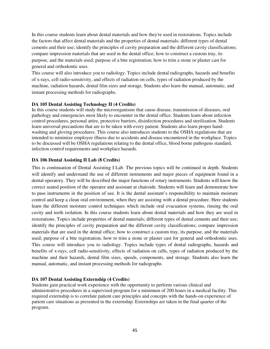In this course students learn about dental materials and how they're used in restorations. Topics include the factors that affect dental materials and the properties of dental materials; different types of dental cements and their use; identify the principles of cavity preparation and the different cavity classifications; compare impression materials that are used in the dental office; how to construct a custom tray, its purpose, and the materials used; purpose of a bite registration; how to trim a stone or plaster cast for general and orthodontic uses.

This course will also introduce you to radiology. Topics include dental radiographs, hazards and benefits of x-rays, cell radio-sensitivity, and effects of radiation on cells, types of radiation produced by the machine, radiation hazards, dental film sizes and storage. Students also learn the manual, automatic, and instant processing methods for radiographs.

#### **DA 105 Dental Assisting Technology II (4 Credits)**

In this course students will study the microorganisms that cause disease, transmission of diseases, oral pathology and emergencies most likely to encounter in the dental office. Students learn about infection control procedures, personal attire, protective barriers, disinfection procedures and sterilization. Students learn universal precautions that are to be taken with every patient. Students also learn proper handwashing and gloving procedures. This course also introduces students to the OSHA regulations that are intended to minimize employee illness due to accidents and disease encountered in the workplace. Topics to be discussed will be OSHA regulations relating to the dental office, blood borne pathogens standard, infection control requirements and workplace hazards.

#### **DA 106 Dental Assisting II Lab (8 Credits)**

This is continuation of Dental Assisting I Lab. The previous topics will be continued in depth. Students will identify and understand the use of different instruments and major pieces of equipment found in a dental operatory. They will be described the major functions of rotary instruments. Students will know the correct seated position of the operator and assistant at chairside. Students will learn and demonstrate how to pass instruments in the position of use. It is the dental assistant's responsibility to maintain moisture control and keep a clean oral environment, when they are assisting with a dental procedure. Here students learn the different moisture control techniques which include oral evacuation systems, rinsing the oral cavity and teeth isolation. In this course students learn about dental materials and how they are used in restorations. Topics include properties of dental materials; different types of dental cements and their use; identify the principles of cavity preparation and the different cavity classifications; compare impression materials that are used in the dental office; how to construct a custom tray, its purpose, and the materials used; purpose of a bite registration; how to trim a stone or plaster cast for general and orthodontic uses. This course will introduce you to radiology. Topics include types of dental radiographs, hazards and benefits of x-rays, cell radio-sensitivity, effects of radiation on cells, types of radiation produced by the machine and their hazards, dental film sizes, speeds, components, and storage. Students also learn the manual, automatic, and instant processing methods for radiographs

#### **DA 107 Dental Assisting Externship (4 Credits)**

Students gain practical work experience with the opportunity to perform various clinical and administrative procedures in a supervised program for a minimum of 200 hours in a medical facility. This required externship is to correlate patient care principles and concepts with the hands-on experience of patient care situations as presented in the externship. Externships are taken in the final quarter of the program.